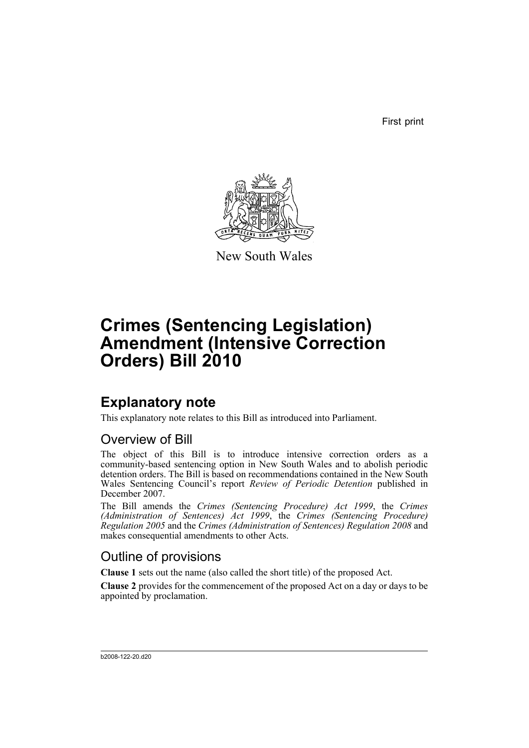First print



New South Wales

# **Crimes (Sentencing Legislation) Amendment (Intensive Correction Orders) Bill 2010**

# **Explanatory note**

This explanatory note relates to this Bill as introduced into Parliament.

# Overview of Bill

The object of this Bill is to introduce intensive correction orders as a community-based sentencing option in New South Wales and to abolish periodic detention orders. The Bill is based on recommendations contained in the New South Wales Sentencing Council's report *Review of Periodic Detention* published in December 2007.

The Bill amends the *Crimes (Sentencing Procedure) Act 1999*, the *Crimes (Administration of Sentences) Act 1999*, the *Crimes (Sentencing Procedure) Regulation 2005* and the *Crimes (Administration of Sentences) Regulation 2008* and makes consequential amendments to other Acts.

# Outline of provisions

**Clause 1** sets out the name (also called the short title) of the proposed Act.

**Clause 2** provides for the commencement of the proposed Act on a day or days to be appointed by proclamation.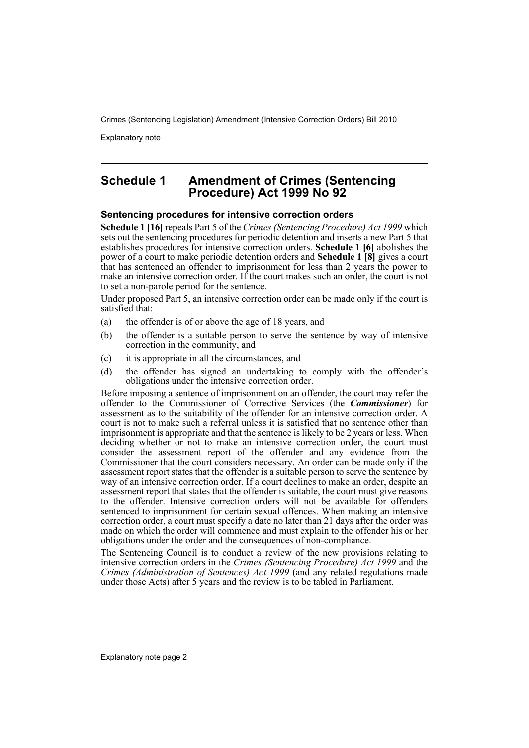Explanatory note

## **Schedule 1 Amendment of Crimes (Sentencing Procedure) Act 1999 No 92**

### **Sentencing procedures for intensive correction orders**

**Schedule 1 [16]** repeals Part 5 of the *Crimes (Sentencing Procedure) Act 1999* which sets out the sentencing procedures for periodic detention and inserts a new Part 5 that establishes procedures for intensive correction orders. **Schedule 1 [6]** abolishes the power of a court to make periodic detention orders and **Schedule 1 [8]** gives a court that has sentenced an offender to imprisonment for less than 2 years the power to make an intensive correction order. If the court makes such an order, the court is not to set a non-parole period for the sentence.

Under proposed Part 5, an intensive correction order can be made only if the court is satisfied that:

- (a) the offender is of or above the age of 18 years, and
- (b) the offender is a suitable person to serve the sentence by way of intensive correction in the community, and
- (c) it is appropriate in all the circumstances, and
- (d) the offender has signed an undertaking to comply with the offender's obligations under the intensive correction order.

Before imposing a sentence of imprisonment on an offender, the court may refer the offender to the Commissioner of Corrective Services (the *Commissioner*) for assessment as to the suitability of the offender for an intensive correction order. A court is not to make such a referral unless it is satisfied that no sentence other than imprisonment is appropriate and that the sentence is likely to be 2 years or less. When deciding whether or not to make an intensive correction order, the court must consider the assessment report of the offender and any evidence from the Commissioner that the court considers necessary. An order can be made only if the assessment report states that the offender is a suitable person to serve the sentence by way of an intensive correction order. If a court declines to make an order, despite an assessment report that states that the offender is suitable, the court must give reasons to the offender. Intensive correction orders will not be available for offenders sentenced to imprisonment for certain sexual offences. When making an intensive correction order, a court must specify a date no later than 21 days after the order was made on which the order will commence and must explain to the offender his or her obligations under the order and the consequences of non-compliance.

The Sentencing Council is to conduct a review of the new provisions relating to intensive correction orders in the *Crimes (Sentencing Procedure) Act 1999* and the *Crimes (Administration of Sentences) Act 1999* (and any related regulations made under those Acts) after 5 years and the review is to be tabled in Parliament.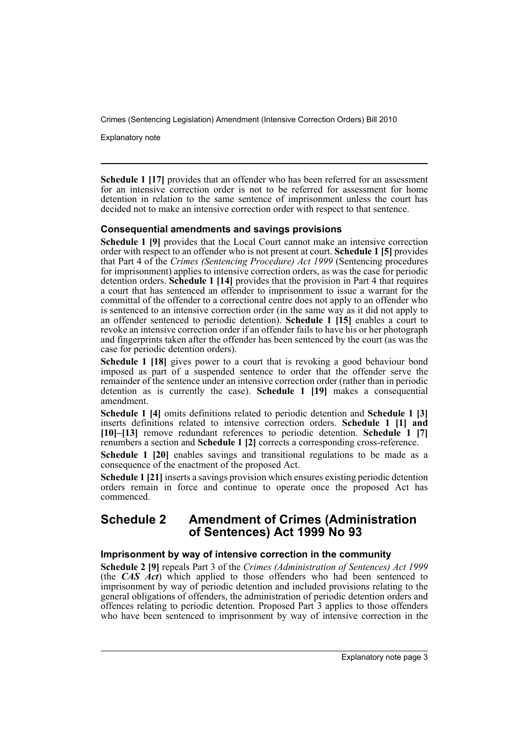Explanatory note

**Schedule 1 [17]** provides that an offender who has been referred for an assessment for an intensive correction order is not to be referred for assessment for home detention in relation to the same sentence of imprisonment unless the court has decided not to make an intensive correction order with respect to that sentence.

### **Consequential amendments and savings provisions**

**Schedule 1 [9]** provides that the Local Court cannot make an intensive correction order with respect to an offender who is not present at court. **Schedule 1 [5]** provides that Part 4 of the *Crimes (Sentencing Procedure) Act 1999* (Sentencing procedures for imprisonment) applies to intensive correction orders, as was the case for periodic detention orders. **Schedule 1 [14]** provides that the provision in Part 4 that requires a court that has sentenced an offender to imprisonment to issue a warrant for the committal of the offender to a correctional centre does not apply to an offender who is sentenced to an intensive correction order (in the same way as it did not apply to an offender sentenced to periodic detention). **Schedule 1 [15]** enables a court to revoke an intensive correction order if an offender fails to have his or her photograph and fingerprints taken after the offender has been sentenced by the court (as was the case for periodic detention orders).

**Schedule 1 [18]** gives power to a court that is revoking a good behaviour bond imposed as part of a suspended sentence to order that the offender serve the remainder of the sentence under an intensive correction order (rather than in periodic detention as is currently the case). **Schedule 1 [19]** makes a consequential amendment.

**Schedule 1 [4]** omits definitions related to periodic detention and **Schedule 1 [3]** inserts definitions related to intensive correction orders. **Schedule 1 [1] and [10]–[13]** remove redundant references to periodic detention. **Schedule 1 [7]** renumbers a section and **Schedule 1 [2]** corrects a corresponding cross-reference.

**Schedule 1 [20]** enables savings and transitional regulations to be made as a consequence of the enactment of the proposed Act.

**Schedule 1 [21]** inserts a savings provision which ensures existing periodic detention orders remain in force and continue to operate once the proposed Act has commenced.

### **Schedule 2 Amendment of Crimes (Administration of Sentences) Act 1999 No 93**

#### **Imprisonment by way of intensive correction in the community**

**Schedule 2 [9]** repeals Part 3 of the *Crimes (Administration of Sentences) Act 1999* (the *CAS Act*) which applied to those offenders who had been sentenced to imprisonment by way of periodic detention and included provisions relating to the general obligations of offenders, the administration of periodic detention orders and offences relating to periodic detention. Proposed Part 3 applies to those offenders who have been sentenced to imprisonment by way of intensive correction in the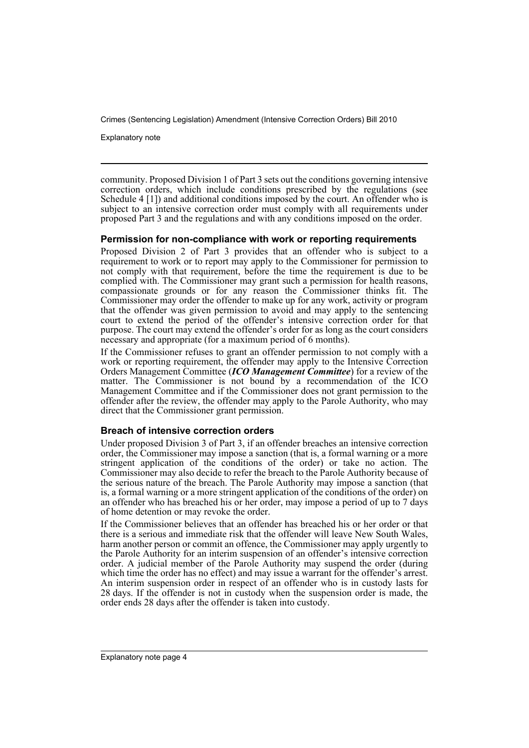Explanatory note

community. Proposed Division 1 of Part 3 sets out the conditions governing intensive correction orders, which include conditions prescribed by the regulations (see Schedule 4 [1]) and additional conditions imposed by the court. An offender who is subject to an intensive correction order must comply with all requirements under proposed Part 3 and the regulations and with any conditions imposed on the order.

#### **Permission for non-compliance with work or reporting requirements**

Proposed Division 2 of Part 3 provides that an offender who is subject to a requirement to work or to report may apply to the Commissioner for permission to not comply with that requirement, before the time the requirement is due to be complied with. The Commissioner may grant such a permission for health reasons, compassionate grounds or for any reason the Commissioner thinks fit. The Commissioner may order the offender to make up for any work, activity or program that the offender was given permission to avoid and may apply to the sentencing court to extend the period of the offender's intensive correction order for that purpose. The court may extend the offender's order for as long as the court considers necessary and appropriate (for a maximum period of 6 months).

If the Commissioner refuses to grant an offender permission to not comply with a work or reporting requirement, the offender may apply to the Intensive Correction Orders Management Committee (*ICO Management Committee*) for a review of the matter. The Commissioner is not bound by a recommendation of the ICO Management Committee and if the Commissioner does not grant permission to the offender after the review, the offender may apply to the Parole Authority, who may direct that the Commissioner grant permission.

#### **Breach of intensive correction orders**

Under proposed Division 3 of Part 3, if an offender breaches an intensive correction order, the Commissioner may impose a sanction (that is, a formal warning or a more stringent application of the conditions of the order) or take no action. The Commissioner may also decide to refer the breach to the Parole Authority because of the serious nature of the breach. The Parole Authority may impose a sanction (that is, a formal warning or a more stringent application of the conditions of the order) on an offender who has breached his or her order, may impose a period of up to 7 days of home detention or may revoke the order.

If the Commissioner believes that an offender has breached his or her order or that there is a serious and immediate risk that the offender will leave New South Wales, harm another person or commit an offence, the Commissioner may apply urgently to the Parole Authority for an interim suspension of an offender's intensive correction order. A judicial member of the Parole Authority may suspend the order (during which time the order has no effect) and may issue a warrant for the offender's arrest. An interim suspension order in respect of an offender who is in custody lasts for 28 days. If the offender is not in custody when the suspension order is made, the order ends 28 days after the offender is taken into custody.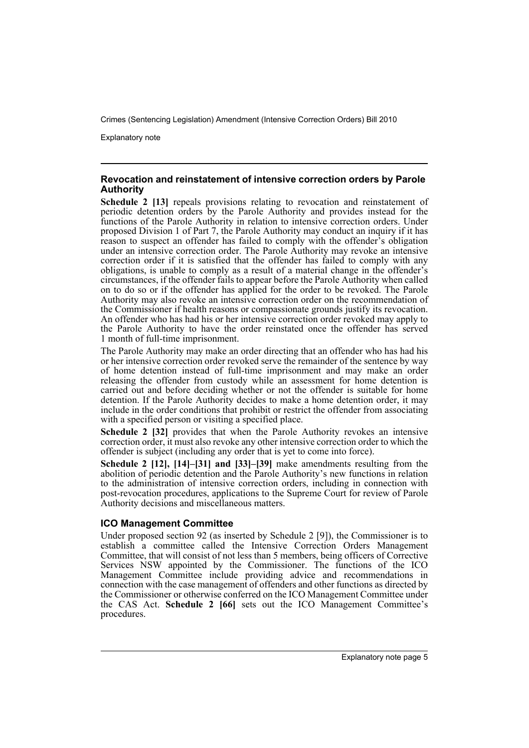Explanatory note

#### **Revocation and reinstatement of intensive correction orders by Parole Authority**

**Schedule 2 [13]** repeals provisions relating to revocation and reinstatement of periodic detention orders by the Parole Authority and provides instead for the functions of the Parole Authority in relation to intensive correction orders. Under proposed Division 1 of Part 7, the Parole Authority may conduct an inquiry if it has reason to suspect an offender has failed to comply with the offender's obligation under an intensive correction order. The Parole Authority may revoke an intensive correction order if it is satisfied that the offender has failed to comply with any obligations, is unable to comply as a result of a material change in the offender's circumstances, if the offender fails to appear before the Parole Authority when called on to do so or if the offender has applied for the order to be revoked. The Parole Authority may also revoke an intensive correction order on the recommendation of the Commissioner if health reasons or compassionate grounds justify its revocation. An offender who has had his or her intensive correction order revoked may apply to the Parole Authority to have the order reinstated once the offender has served 1 month of full-time imprisonment.

The Parole Authority may make an order directing that an offender who has had his or her intensive correction order revoked serve the remainder of the sentence by way of home detention instead of full-time imprisonment and may make an order releasing the offender from custody while an assessment for home detention is carried out and before deciding whether or not the offender is suitable for home detention. If the Parole Authority decides to make a home detention order, it may include in the order conditions that prohibit or restrict the offender from associating with a specified person or visiting a specified place.

**Schedule 2 [32]** provides that when the Parole Authority revokes an intensive correction order, it must also revoke any other intensive correction order to which the offender is subject (including any order that is yet to come into force).

**Schedule 2 [12], [14]–[31] and [33]–[39]** make amendments resulting from the abolition of periodic detention and the Parole Authority's new functions in relation to the administration of intensive correction orders, including in connection with post-revocation procedures, applications to the Supreme Court for review of Parole Authority decisions and miscellaneous matters.

### **ICO Management Committee**

Under proposed section 92 (as inserted by Schedule 2 [9]), the Commissioner is to establish a committee called the Intensive Correction Orders Management Committee, that will consist of not less than 5 members, being officers of Corrective Services NSW appointed by the Commissioner. The functions of the ICO Management Committee include providing advice and recommendations in connection with the case management of offenders and other functions as directed by the Commissioner or otherwise conferred on the ICO Management Committee under the CAS Act. **Schedule 2 [66]** sets out the ICO Management Committee's procedures.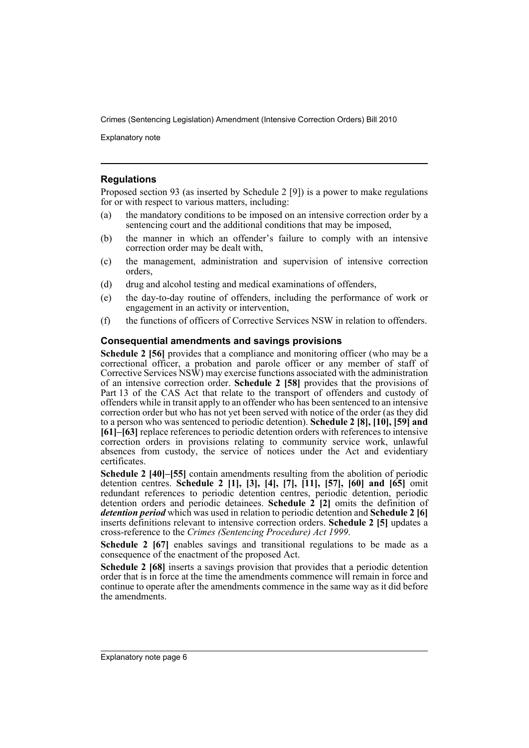Explanatory note

#### **Regulations**

Proposed section 93 (as inserted by Schedule 2 [9]) is a power to make regulations for or with respect to various matters, including:

- (a) the mandatory conditions to be imposed on an intensive correction order by a sentencing court and the additional conditions that may be imposed,
- (b) the manner in which an offender's failure to comply with an intensive correction order may be dealt with,
- (c) the management, administration and supervision of intensive correction orders,
- (d) drug and alcohol testing and medical examinations of offenders,
- (e) the day-to-day routine of offenders, including the performance of work or engagement in an activity or intervention,
- (f) the functions of officers of Corrective Services NSW in relation to offenders.

#### **Consequential amendments and savings provisions**

**Schedule 2 [56]** provides that a compliance and monitoring officer (who may be a correctional officer, a probation and parole officer or any member of staff of Corrective Services NSW) may exercise functions associated with the administration of an intensive correction order. **Schedule 2 [58]** provides that the provisions of Part 13 of the CAS Act that relate to the transport of offenders and custody of offenders while in transit apply to an offender who has been sentenced to an intensive correction order but who has not yet been served with notice of the order (as they did to a person who was sentenced to periodic detention). **Schedule 2 [8], [10], [59] and [61]–[63]** replace references to periodic detention orders with references to intensive correction orders in provisions relating to community service work, unlawful absences from custody, the service of notices under the Act and evidentiary certificates.

**Schedule 2 [40]–[55]** contain amendments resulting from the abolition of periodic detention centres. **Schedule 2 [1], [3], [4], [7], [11], [57], [60] and [65]** omit redundant references to periodic detention centres, periodic detention, periodic detention orders and periodic detainees. **Schedule 2 [2]** omits the definition of *detention period* which was used in relation to periodic detention and **Schedule 2 [6]** inserts definitions relevant to intensive correction orders. **Schedule 2 [5]** updates a cross-reference to the *Crimes (Sentencing Procedure) Act 1999*.

Schedule 2 [67] enables savings and transitional regulations to be made as a consequence of the enactment of the proposed Act.

**Schedule 2 [68]** inserts a savings provision that provides that a periodic detention order that is in force at the time the amendments commence will remain in force and continue to operate after the amendments commence in the same way as it did before the amendments.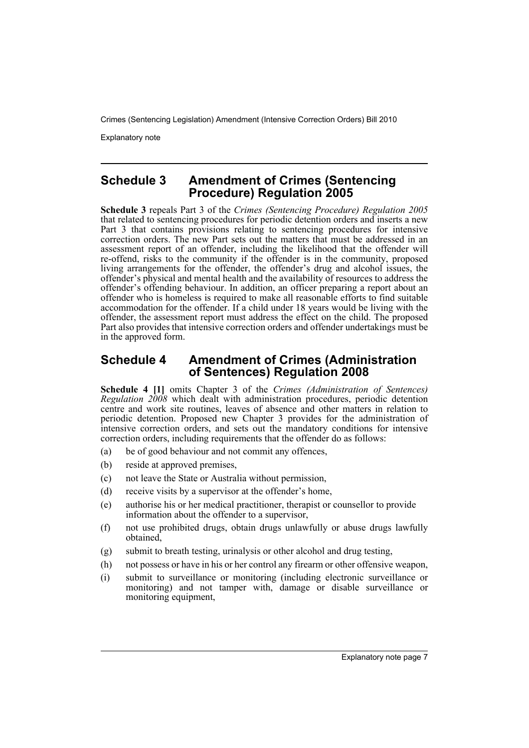Explanatory note

## **Schedule 3 Amendment of Crimes (Sentencing Procedure) Regulation 2005**

**Schedule 3** repeals Part 3 of the *Crimes (Sentencing Procedure) Regulation 2005* that related to sentencing procedures for periodic detention orders and inserts a new Part 3 that contains provisions relating to sentencing procedures for intensive correction orders. The new Part sets out the matters that must be addressed in an assessment report of an offender, including the likelihood that the offender will re-offend, risks to the community if the offender is in the community, proposed living arrangements for the offender, the offender's drug and alcohol issues, the offender's physical and mental health and the availability of resources to address the offender's offending behaviour. In addition, an officer preparing a report about an offender who is homeless is required to make all reasonable efforts to find suitable accommodation for the offender. If a child under 18 years would be living with the offender, the assessment report must address the effect on the child. The proposed Part also provides that intensive correction orders and offender undertakings must be in the approved form.

### **Schedule 4 Amendment of Crimes (Administration of Sentences) Regulation 2008**

**Schedule 4 [1]** omits Chapter 3 of the *Crimes (Administration of Sentences) Regulation 2008* which dealt with administration procedures, periodic detention centre and work site routines, leaves of absence and other matters in relation to periodic detention. Proposed new Chapter 3 provides for the administration of intensive correction orders, and sets out the mandatory conditions for intensive correction orders, including requirements that the offender do as follows:

- (a) be of good behaviour and not commit any offences,
- (b) reside at approved premises,
- (c) not leave the State or Australia without permission,
- (d) receive visits by a supervisor at the offender's home,
- (e) authorise his or her medical practitioner, therapist or counsellor to provide information about the offender to a supervisor,
- (f) not use prohibited drugs, obtain drugs unlawfully or abuse drugs lawfully obtained,
- (g) submit to breath testing, urinalysis or other alcohol and drug testing,
- (h) not possess or have in his or her control any firearm or other offensive weapon,
- (i) submit to surveillance or monitoring (including electronic surveillance or monitoring) and not tamper with, damage or disable surveillance or monitoring equipment,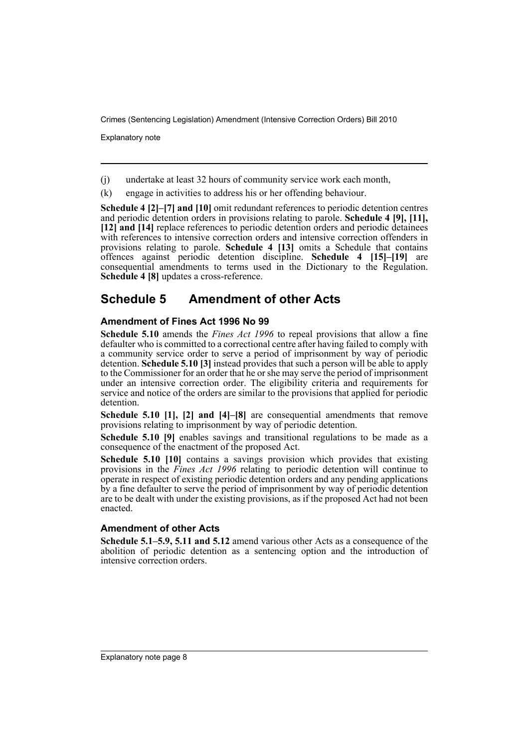Explanatory note

(j) undertake at least 32 hours of community service work each month,

(k) engage in activities to address his or her offending behaviour.

**Schedule 4 [2]–[7] and [10]** omit redundant references to periodic detention centres and periodic detention orders in provisions relating to parole. **Schedule 4 [9], [11], [12] and [14]** replace references to periodic detention orders and periodic detainees with references to intensive correction orders and intensive correction offenders in provisions relating to parole. **Schedule 4 [13]** omits a Schedule that contains offences against periodic detention discipline. **Schedule 4 [15]–[19]** are consequential amendments to terms used in the Dictionary to the Regulation. **Schedule 4 [8]** updates a cross-reference.

# **Schedule 5 Amendment of other Acts**

### **Amendment of Fines Act 1996 No 99**

**Schedule 5.10** amends the *Fines Act 1996* to repeal provisions that allow a fine defaulter who is committed to a correctional centre after having failed to comply with a community service order to serve a period of imprisonment by way of periodic detention. **Schedule 5.10 [3]** instead provides that such a person will be able to apply to the Commissioner for an order that he or she may serve the period of imprisonment under an intensive correction order. The eligibility criteria and requirements for service and notice of the orders are similar to the provisions that applied for periodic detention.

**Schedule 5.10 [1], [2] and [4]–[8]** are consequential amendments that remove provisions relating to imprisonment by way of periodic detention.

**Schedule 5.10 [9]** enables savings and transitional regulations to be made as a consequence of the enactment of the proposed Act.

**Schedule 5.10 [10]** contains a savings provision which provides that existing provisions in the *Fines Act 1996* relating to periodic detention will continue to operate in respect of existing periodic detention orders and any pending applications by a fine defaulter to serve the period of imprisonment by way of periodic detention are to be dealt with under the existing provisions, as if the proposed Act had not been enacted.

#### **Amendment of other Acts**

**Schedule 5.1–5.9, 5.11 and 5.12** amend various other Acts as a consequence of the abolition of periodic detention as a sentencing option and the introduction of intensive correction orders.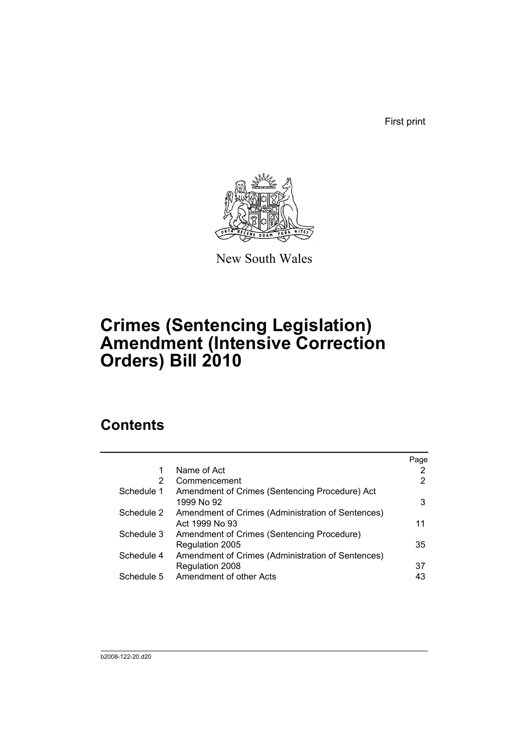First print



New South Wales

# **Crimes (Sentencing Legislation) Amendment (Intensive Correction Orders) Bill 2010**

# **Contents**

|            |                                                                     | Page |
|------------|---------------------------------------------------------------------|------|
| 1          | Name of Act                                                         | 2    |
| 2          | Commencement                                                        | 2    |
| Schedule 1 | Amendment of Crimes (Sentencing Procedure) Act<br>1999 No 92        | 3    |
| Schedule 2 | Amendment of Crimes (Administration of Sentences)<br>Act 1999 No 93 | 11   |
| Schedule 3 | Amendment of Crimes (Sentencing Procedure)                          |      |
|            | Regulation 2005                                                     | 35   |
| Schedule 4 | Amendment of Crimes (Administration of Sentences)                   |      |
|            | Regulation 2008                                                     | 37   |
| Schedule 5 | Amendment of other Acts                                             | 43   |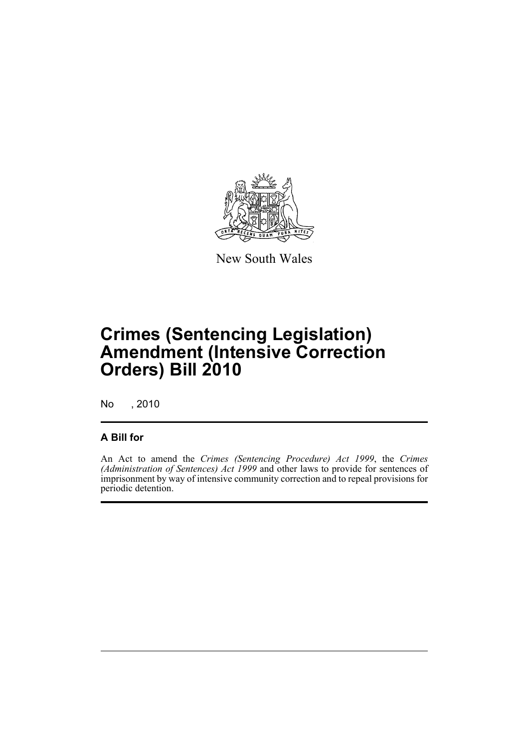

New South Wales

# **Crimes (Sentencing Legislation) Amendment (Intensive Correction Orders) Bill 2010**

No , 2010

## **A Bill for**

An Act to amend the *Crimes (Sentencing Procedure) Act 1999*, the *Crimes (Administration of Sentences) Act 1999* and other laws to provide for sentences of imprisonment by way of intensive community correction and to repeal provisions for periodic detention.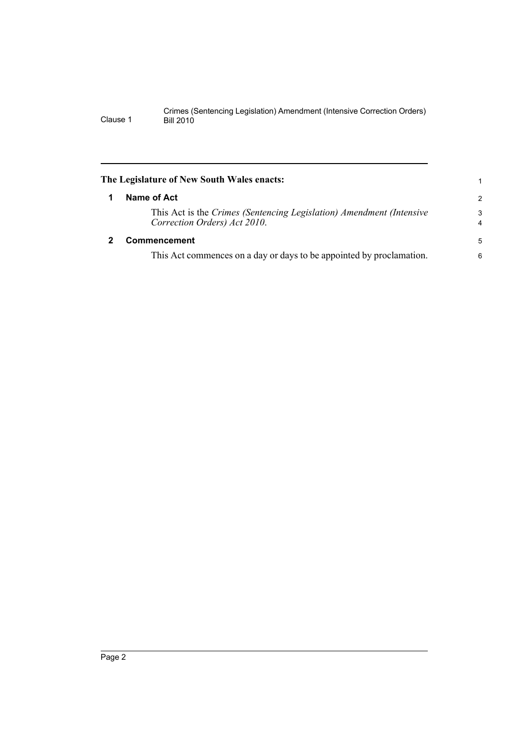<span id="page-11-1"></span><span id="page-11-0"></span>

| The Legislature of New South Wales enacts: |                                                                                                      |                     |  |  |  |
|--------------------------------------------|------------------------------------------------------------------------------------------------------|---------------------|--|--|--|
|                                            | Name of Act                                                                                          | $\overline{2}$      |  |  |  |
|                                            | This Act is the Crimes (Sentencing Legislation) Amendment (Intensive<br>Correction Orders) Act 2010. | 3<br>$\overline{4}$ |  |  |  |
|                                            | <b>Commencement</b>                                                                                  | 5                   |  |  |  |
|                                            | This Act commences on a day or days to be appointed by proclamation.                                 | 6                   |  |  |  |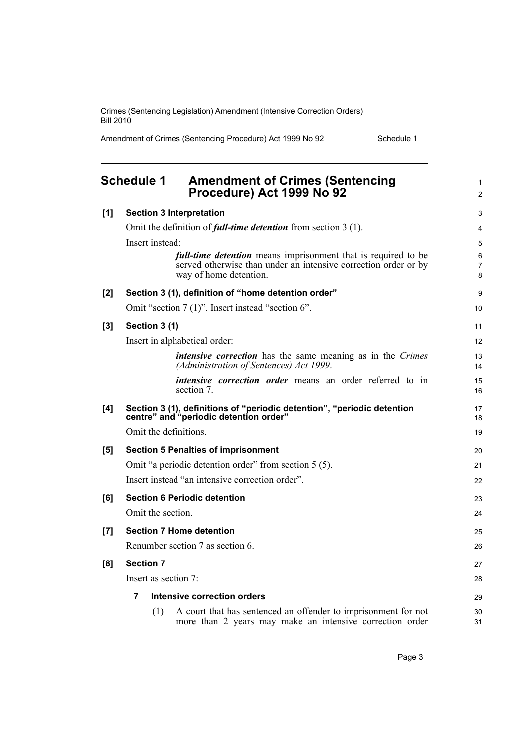Amendment of Crimes (Sentencing Procedure) Act 1999 No 92 Schedule 1

<span id="page-12-0"></span>

|     | <b>Schedule 1</b><br><b>Amendment of Crimes (Sentencing</b><br>Procedure) Act 1999 No 92                                                                          | 1<br>$\overline{2}$ |
|-----|-------------------------------------------------------------------------------------------------------------------------------------------------------------------|---------------------|
| [1] | <b>Section 3 Interpretation</b>                                                                                                                                   | 3                   |
|     | Omit the definition of <i>full-time detention</i> from section $3(1)$ .                                                                                           | 4                   |
|     | Insert instead:                                                                                                                                                   | 5                   |
|     | <i>full-time detention</i> means imprisonment that is required to be<br>served otherwise than under an intensive correction order or by<br>way of home detention. | 6<br>7<br>8         |
| [2] | Section 3 (1), definition of "home detention order"                                                                                                               | 9                   |
|     | Omit "section 7 (1)". Insert instead "section 6".                                                                                                                 | 10                  |
| [3] | Section 3 (1)                                                                                                                                                     | 11                  |
|     | Insert in alphabetical order:                                                                                                                                     | 12                  |
|     | <i>intensive correction</i> has the same meaning as in the <i>Crimes</i><br>(Administration of Sentences) Act 1999.                                               | 13<br>14            |
|     | <i>intensive correction order</i> means an order referred to in<br>section 7.                                                                                     | 15<br>16            |
| [4] | Section 3 (1), definitions of "periodic detention", "periodic detention<br>centre" and "periodic detention order"                                                 | 17<br>18            |
|     | Omit the definitions.                                                                                                                                             | 19                  |
| [5] | <b>Section 5 Penalties of imprisonment</b>                                                                                                                        | 20                  |
|     | Omit "a periodic detention order" from section 5 (5).                                                                                                             | 21                  |
|     | Insert instead "an intensive correction order".                                                                                                                   | 22                  |
| [6] | <b>Section 6 Periodic detention</b>                                                                                                                               | 23                  |
|     | Omit the section.                                                                                                                                                 | 24                  |
| [7] | <b>Section 7 Home detention</b>                                                                                                                                   | 25                  |
|     | Renumber section 7 as section 6.                                                                                                                                  | 26                  |
| [8] | <b>Section 7</b>                                                                                                                                                  | 27                  |
|     | Insert as section 7:                                                                                                                                              | 28                  |
|     | 7<br><b>Intensive correction orders</b>                                                                                                                           | 29                  |
|     | A court that has sentenced an offender to imprisonment for not<br>(1)<br>more than 2 years may make an intensive correction order                                 | 30<br>31            |

Page 3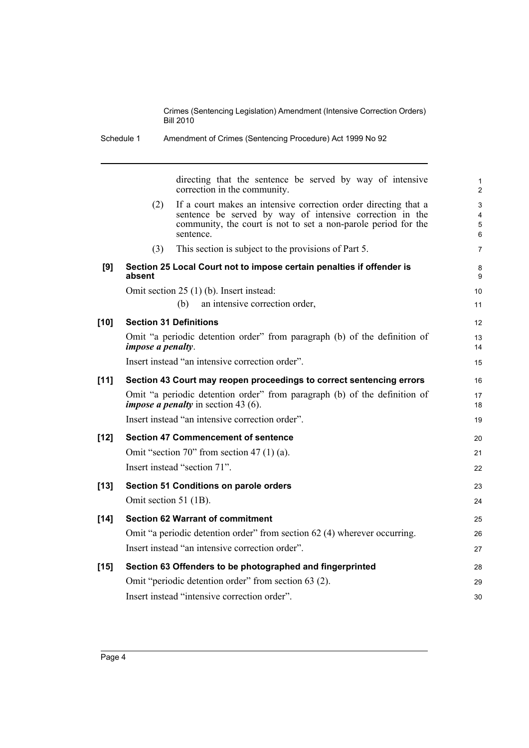|        |                          | directing that the sentence be served by way of intensive<br>correction in the community.                                                                                                                  |
|--------|--------------------------|------------------------------------------------------------------------------------------------------------------------------------------------------------------------------------------------------------|
|        | (2)                      | If a court makes an intensive correction order directing that a<br>sentence be served by way of intensive correction in the<br>community, the court is not to set a non-parole period for the<br>sentence. |
|        | (3)                      | This section is subject to the provisions of Part 5.                                                                                                                                                       |
| [9]    | absent                   | Section 25 Local Court not to impose certain penalties if offender is                                                                                                                                      |
|        |                          | Omit section 25 (1) (b). Insert instead:                                                                                                                                                                   |
|        |                          | (b)<br>an intensive correction order,                                                                                                                                                                      |
| $[10]$ |                          | <b>Section 31 Definitions</b>                                                                                                                                                                              |
|        | <i>impose a penalty.</i> | Omit "a periodic detention order" from paragraph (b) of the definition of                                                                                                                                  |
|        |                          | Insert instead "an intensive correction order".                                                                                                                                                            |
| [11]   |                          | Section 43 Court may reopen proceedings to correct sentencing errors                                                                                                                                       |
|        |                          | Omit "a periodic detention order" from paragraph (b) of the definition of<br><i>impose a penalty</i> in section 43 $(6)$ .                                                                                 |
|        |                          | Insert instead "an intensive correction order".                                                                                                                                                            |
| $[12]$ |                          | <b>Section 47 Commencement of sentence</b>                                                                                                                                                                 |
|        |                          | Omit "section 70" from section 47 $(1)$ $(a)$ .                                                                                                                                                            |
|        |                          | Insert instead "section 71".                                                                                                                                                                               |
| $[13]$ |                          | <b>Section 51 Conditions on parole orders</b>                                                                                                                                                              |
|        | Omit section 51 (1B).    |                                                                                                                                                                                                            |
| $[14]$ |                          | <b>Section 62 Warrant of commitment</b>                                                                                                                                                                    |
|        |                          | Omit "a periodic detention order" from section 62 (4) wherever occurring.                                                                                                                                  |
|        |                          | Insert instead "an intensive correction order".                                                                                                                                                            |
| $[15]$ |                          | Section 63 Offenders to be photographed and fingerprinted                                                                                                                                                  |
|        |                          | Omit "periodic detention order" from section 63 (2).                                                                                                                                                       |
|        |                          | Insert instead "intensive correction order".                                                                                                                                                               |
|        |                          |                                                                                                                                                                                                            |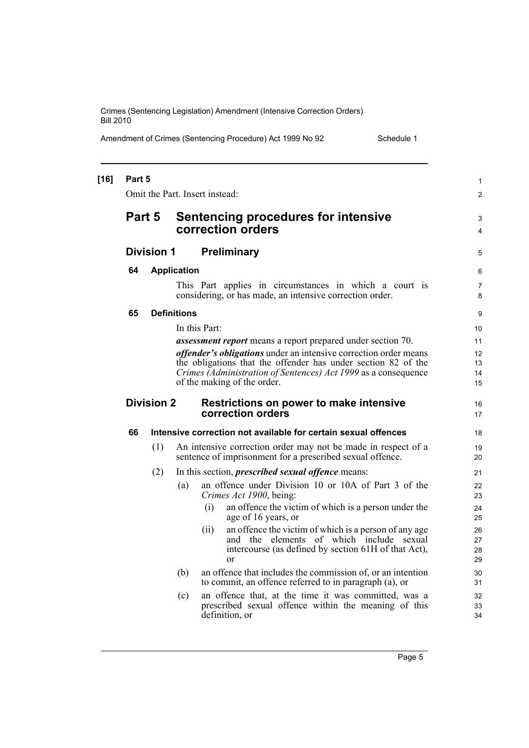Amendment of Crimes (Sentencing Procedure) Act 1999 No 92 Schedule 1

|    | Part 5                                                                            |                    | Omit the Part. Insert instead:                                                                                                                                          | 1<br>$\overline{2}$  |
|----|-----------------------------------------------------------------------------------|--------------------|-------------------------------------------------------------------------------------------------------------------------------------------------------------------------|----------------------|
|    |                                                                                   |                    |                                                                                                                                                                         |                      |
|    | Part 5                                                                            |                    | <b>Sentencing procedures for intensive</b><br>correction orders                                                                                                         | 3<br>4               |
|    | <b>Division 1</b>                                                                 |                    | <b>Preliminary</b>                                                                                                                                                      | 5                    |
| 64 |                                                                                   | <b>Application</b> |                                                                                                                                                                         | 6                    |
|    |                                                                                   |                    | This Part applies in circumstances in which a court is<br>considering, or has made, an intensive correction order.                                                      | 7<br>8               |
| 65 |                                                                                   | <b>Definitions</b> |                                                                                                                                                                         | 9                    |
|    |                                                                                   |                    | In this Part:                                                                                                                                                           | 10                   |
|    |                                                                                   |                    | assessment report means a report prepared under section 70.                                                                                                             | 11                   |
|    |                                                                                   |                    | offender's obligations under an intensive correction order means                                                                                                        | 12                   |
|    |                                                                                   |                    | the obligations that the offender has under section 82 of the<br>Crimes (Administration of Sentences) Act 1999 as a consequence                                         | 13<br>14             |
|    |                                                                                   |                    | of the making of the order.                                                                                                                                             | 15                   |
|    | <b>Division 2</b><br>Restrictions on power to make intensive<br>correction orders |                    |                                                                                                                                                                         |                      |
| 66 |                                                                                   |                    | Intensive correction not available for certain sexual offences                                                                                                          | 18                   |
|    | (1)                                                                               |                    | An intensive correction order may not be made in respect of a<br>sentence of imprisonment for a prescribed sexual offence.                                              | 19<br>20             |
|    | (2)                                                                               |                    | In this section, <i>prescribed sexual offence</i> means:                                                                                                                | 21                   |
|    |                                                                                   | (a)                | an offence under Division 10 or 10A of Part 3 of the<br>Crimes Act 1900, being:                                                                                         | 22<br>23             |
|    |                                                                                   |                    | (i)<br>an offence the victim of which is a person under the<br>age of 16 years, or                                                                                      | 24<br>25             |
|    |                                                                                   |                    | an offence the victim of which is a person of any age<br>(ii)<br>and the elements of which include sexual<br>intercourse (as defined by section 61H of that Act),<br>or | 26<br>27<br>28<br>29 |
|    |                                                                                   | (b)                | an offence that includes the commission of, or an intention<br>to commit, an offence referred to in paragraph (a), or                                                   | 30<br>31             |
|    |                                                                                   | (c)                | an offence that, at the time it was committed, was a<br>prescribed sexual offence within the meaning of this<br>definition, or                                          | 32<br>33<br>34       |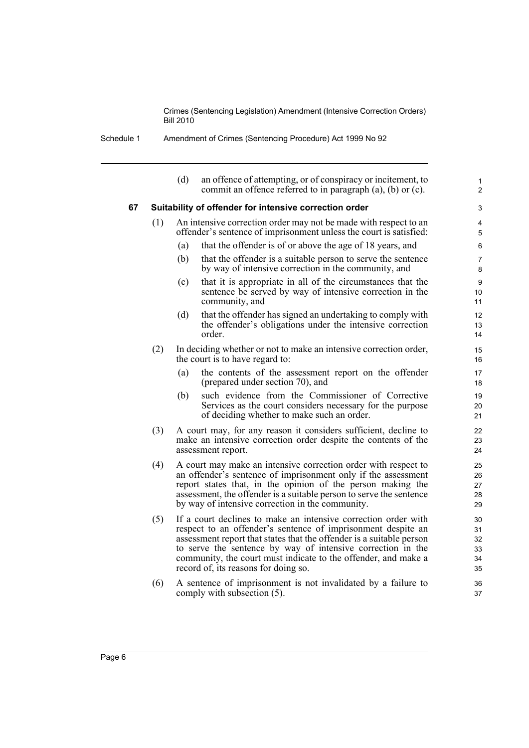| Schedule 1 | Amendment of Crimes (Sentencing Procedure) Act 1999 No 92 |  |
|------------|-----------------------------------------------------------|--|
|            |                                                           |  |

|    |     | (d) | an offence of attempting, or of conspiracy or incitement, to<br>commit an offence referred to in paragraph (a), (b) or (c).                                                                                                                                                                                                                                                     | $\mathbf{1}$<br>$\overline{c}$   |
|----|-----|-----|---------------------------------------------------------------------------------------------------------------------------------------------------------------------------------------------------------------------------------------------------------------------------------------------------------------------------------------------------------------------------------|----------------------------------|
| 67 |     |     | Suitability of offender for intensive correction order                                                                                                                                                                                                                                                                                                                          | 3                                |
|    | (1) |     | An intensive correction order may not be made with respect to an<br>offender's sentence of imprisonment unless the court is satisfied:                                                                                                                                                                                                                                          | 4<br>5                           |
|    |     | (a) | that the offender is of or above the age of 18 years, and                                                                                                                                                                                                                                                                                                                       | 6                                |
|    |     | (b) | that the offender is a suitable person to serve the sentence<br>by way of intensive correction in the community, and                                                                                                                                                                                                                                                            | 7<br>8                           |
|    |     | (c) | that it is appropriate in all of the circumstances that the<br>sentence be served by way of intensive correction in the<br>community, and                                                                                                                                                                                                                                       | 9<br>10<br>11                    |
|    |     | (d) | that the offender has signed an undertaking to comply with<br>the offender's obligations under the intensive correction<br>order.                                                                                                                                                                                                                                               | 12<br>13<br>14                   |
|    | (2) |     | In deciding whether or not to make an intensive correction order,<br>the court is to have regard to:                                                                                                                                                                                                                                                                            | 15<br>16                         |
|    |     | (a) | the contents of the assessment report on the offender<br>(prepared under section 70), and                                                                                                                                                                                                                                                                                       | 17<br>18                         |
|    |     | (b) | such evidence from the Commissioner of Corrective<br>Services as the court considers necessary for the purpose<br>of deciding whether to make such an order.                                                                                                                                                                                                                    | 19<br>20<br>21                   |
|    | (3) |     | A court may, for any reason it considers sufficient, decline to<br>make an intensive correction order despite the contents of the<br>assessment report.                                                                                                                                                                                                                         | 22<br>23<br>24                   |
|    | (4) |     | A court may make an intensive correction order with respect to<br>an offender's sentence of imprisonment only if the assessment<br>report states that, in the opinion of the person making the<br>assessment, the offender is a suitable person to serve the sentence<br>by way of intensive correction in the community.                                                       | 25<br>26<br>27<br>28<br>29       |
|    | (5) |     | If a court declines to make an intensive correction order with<br>respect to an offender's sentence of imprisonment despite an<br>assessment report that states that the offender is a suitable person<br>to serve the sentence by way of intensive correction in the<br>community, the court must indicate to the offender, and make a<br>record of, its reasons for doing so. | 30<br>31<br>32<br>33<br>34<br>35 |
|    | (6) |     | A sentence of imprisonment is not invalidated by a failure to<br>comply with subsection (5).                                                                                                                                                                                                                                                                                    | 36<br>37                         |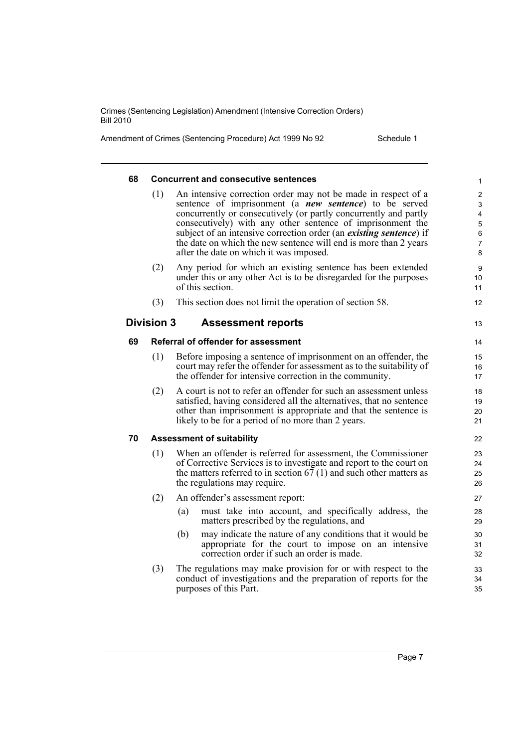Amendment of Crimes (Sentencing Procedure) Act 1999 No 92 Schedule 1

| 68 |                   | <b>Concurrent and consecutive sentences</b>                                                                                                                                                                                                                                                                                                                                                                                                            | 1                                                     |
|----|-------------------|--------------------------------------------------------------------------------------------------------------------------------------------------------------------------------------------------------------------------------------------------------------------------------------------------------------------------------------------------------------------------------------------------------------------------------------------------------|-------------------------------------------------------|
|    | (1)               | An intensive correction order may not be made in respect of a<br>sentence of imprisonment (a <b>new sentence</b> ) to be served<br>concurrently or consecutively (or partly concurrently and partly<br>consecutively) with any other sentence of imprisonment the<br>subject of an intensive correction order (an existing sentence) if<br>the date on which the new sentence will end is more than 2 years<br>after the date on which it was imposed. | $\overline{\mathbf{c}}$<br>3<br>4<br>5<br>6<br>7<br>8 |
|    | (2)               | Any period for which an existing sentence has been extended<br>under this or any other Act is to be disregarded for the purposes<br>of this section.                                                                                                                                                                                                                                                                                                   | 9<br>10<br>11                                         |
|    | (3)               | This section does not limit the operation of section 58.                                                                                                                                                                                                                                                                                                                                                                                               | 12                                                    |
|    | <b>Division 3</b> | <b>Assessment reports</b>                                                                                                                                                                                                                                                                                                                                                                                                                              | 13                                                    |
| 69 |                   | Referral of offender for assessment                                                                                                                                                                                                                                                                                                                                                                                                                    | 14                                                    |
|    | (1)               | Before imposing a sentence of imprisonment on an offender, the<br>court may refer the offender for assessment as to the suitability of<br>the offender for intensive correction in the community.                                                                                                                                                                                                                                                      | 15<br>16<br>17                                        |
|    | (2)               | A court is not to refer an offender for such an assessment unless<br>satisfied, having considered all the alternatives, that no sentence<br>other than imprisonment is appropriate and that the sentence is<br>likely to be for a period of no more than 2 years.                                                                                                                                                                                      | 18<br>19<br>20<br>21                                  |
| 70 |                   | <b>Assessment of suitability</b>                                                                                                                                                                                                                                                                                                                                                                                                                       | 22                                                    |
|    | (1)               | When an offender is referred for assessment, the Commissioner<br>of Corrective Services is to investigate and report to the court on<br>the matters referred to in section $67(1)$ and such other matters as<br>the regulations may require.                                                                                                                                                                                                           | 23<br>24<br>25<br>26                                  |
|    | (2)               | An offender's assessment report:                                                                                                                                                                                                                                                                                                                                                                                                                       | 27                                                    |
|    |                   | (a)<br>must take into account, and specifically address, the<br>matters prescribed by the regulations, and                                                                                                                                                                                                                                                                                                                                             | 28<br>29                                              |
|    |                   | may indicate the nature of any conditions that it would be<br>(b)<br>appropriate for the court to impose on an intensive<br>correction order if such an order is made.                                                                                                                                                                                                                                                                                 | 30<br>31<br>32                                        |
|    | (3)               | The regulations may make provision for or with respect to the<br>conduct of investigations and the preparation of reports for the<br>purposes of this Part.                                                                                                                                                                                                                                                                                            | 33<br>34<br>35                                        |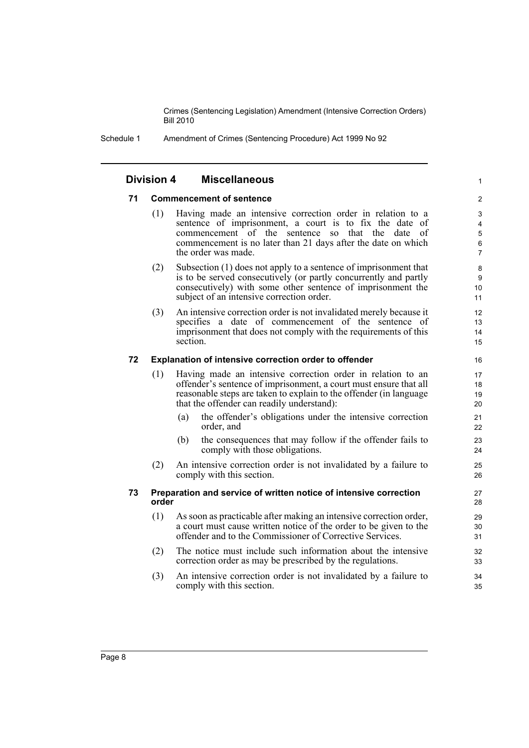1

Schedule 1 Amendment of Crimes (Sentencing Procedure) Act 1999 No 92

#### **Division 4 Miscellaneous**

#### **71 Commencement of sentence**

- (1) Having made an intensive correction order in relation to a sentence of imprisonment, a court is to fix the date of commencement of the sentence so that the date of commencement is no later than 21 days after the date on which the order was made.
- (2) Subsection (1) does not apply to a sentence of imprisonment that is to be served consecutively (or partly concurrently and partly consecutively) with some other sentence of imprisonment the subject of an intensive correction order.
- (3) An intensive correction order is not invalidated merely because it specifies a date of commencement of the sentence of imprisonment that does not comply with the requirements of this section.

#### **72 Explanation of intensive correction order to offender**

- (1) Having made an intensive correction order in relation to an offender's sentence of imprisonment, a court must ensure that all reasonable steps are taken to explain to the offender (in language that the offender can readily understand):
	- (a) the offender's obligations under the intensive correction order, and
	- (b) the consequences that may follow if the offender fails to comply with those obligations.
- (2) An intensive correction order is not invalidated by a failure to comply with this section.

#### **73 Preparation and service of written notice of intensive correction order**

- (1) As soon as practicable after making an intensive correction order, a court must cause written notice of the order to be given to the offender and to the Commissioner of Corrective Services.
- (2) The notice must include such information about the intensive correction order as may be prescribed by the regulations.
- (3) An intensive correction order is not invalidated by a failure to comply with this section.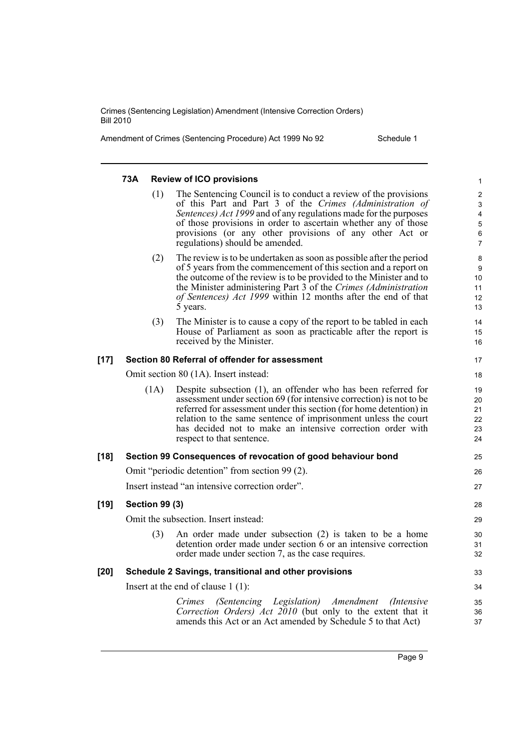Amendment of Crimes (Sentencing Procedure) Act 1999 No 92 Schedule 1

|        | 73A                   |      | <b>Review of ICO provisions</b>                                                                                                                                                                                                                                                                                                                                         | 1                                                                     |
|--------|-----------------------|------|-------------------------------------------------------------------------------------------------------------------------------------------------------------------------------------------------------------------------------------------------------------------------------------------------------------------------------------------------------------------------|-----------------------------------------------------------------------|
|        |                       | (1)  | The Sentencing Council is to conduct a review of the provisions<br>of this Part and Part 3 of the Crimes (Administration of<br>Sentences) Act 1999 and of any regulations made for the purposes<br>of those provisions in order to ascertain whether any of those<br>provisions (or any other provisions of any other Act or<br>regulations) should be amended.         | $\overline{2}$<br>$\mathbf{3}$<br>4<br>5<br>$\,6\,$<br>$\overline{7}$ |
|        |                       | (2)  | The review is to be undertaken as soon as possible after the period<br>of 5 years from the commencement of this section and a report on<br>the outcome of the review is to be provided to the Minister and to<br>the Minister administering Part 3 of the Crimes (Administration<br>of Sentences) Act 1999 within 12 months after the end of that<br>5 years.           | 8<br>9<br>10<br>11<br>12<br>13                                        |
|        |                       | (3)  | The Minister is to cause a copy of the report to be tabled in each<br>House of Parliament as soon as practicable after the report is<br>received by the Minister.                                                                                                                                                                                                       | 14<br>15<br>16                                                        |
| $[17]$ |                       |      | Section 80 Referral of offender for assessment                                                                                                                                                                                                                                                                                                                          | 17                                                                    |
|        |                       |      | Omit section 80 (1A). Insert instead:                                                                                                                                                                                                                                                                                                                                   | 18                                                                    |
|        |                       | (1A) | Despite subsection (1), an offender who has been referred for<br>assessment under section 69 (for intensive correction) is not to be<br>referred for assessment under this section (for home detention) in<br>relation to the same sentence of imprisonment unless the court<br>has decided not to make an intensive correction order with<br>respect to that sentence. | 19<br>20<br>21<br>22<br>23<br>24                                      |
| $[18]$ |                       |      | Section 99 Consequences of revocation of good behaviour bond                                                                                                                                                                                                                                                                                                            | 25                                                                    |
|        |                       |      | Omit "periodic detention" from section 99 (2).                                                                                                                                                                                                                                                                                                                          | 26                                                                    |
|        |                       |      | Insert instead "an intensive correction order".                                                                                                                                                                                                                                                                                                                         | 27                                                                    |
| $[19]$ | <b>Section 99 (3)</b> |      |                                                                                                                                                                                                                                                                                                                                                                         | 28                                                                    |
|        |                       |      | Omit the subsection. Insert instead:                                                                                                                                                                                                                                                                                                                                    | 29                                                                    |
|        |                       | (3)  | An order made under subsection (2) is taken to be a home<br>detention order made under section 6 or an intensive correction<br>order made under section 7, as the case requires.                                                                                                                                                                                        | 30<br>31<br>32                                                        |
| $[20]$ |                       |      | Schedule 2 Savings, transitional and other provisions                                                                                                                                                                                                                                                                                                                   | 33                                                                    |
|        |                       |      | Insert at the end of clause $1(1)$ :                                                                                                                                                                                                                                                                                                                                    | 34                                                                    |
|        |                       |      | (Sentencing Legislation) Amendment (Intensive<br>Crimes<br>Correction Orders) Act 2010 (but only to the extent that it<br>amends this Act or an Act amended by Schedule 5 to that Act)                                                                                                                                                                                  | 35<br>36<br>37                                                        |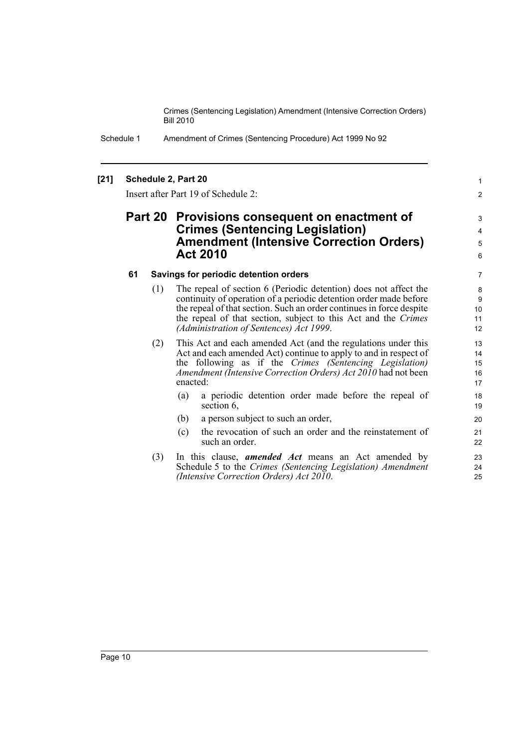> 1 2

Schedule 1 Amendment of Crimes (Sentencing Procedure) Act 1999 No 92

#### **[21] Schedule 2, Part 20**

Insert after Part 19 of Schedule 2:

# **Part 20 Provisions consequent on enactment of Crimes (Sentencing Legislation) Amendment (Intensive Correction Orders) Act 2010**

#### **61 Savings for periodic detention orders**

- (1) The repeal of section 6 (Periodic detention) does not affect the continuity of operation of a periodic detention order made before the repeal of that section. Such an order continues in force despite the repeal of that section, subject to this Act and the *Crimes (Administration of Sentences) Act 1999*.
- (2) This Act and each amended Act (and the regulations under this Act and each amended Act) continue to apply to and in respect of the following as if the *Crimes (Sentencing Legislation) Amendment (Intensive Correction Orders) Act 2010* had not been enacted:
	- (a) a periodic detention order made before the repeal of section 6.
	- (b) a person subject to such an order,
	- (c) the revocation of such an order and the reinstatement of such an order.
- (3) In this clause, *amended Act* means an Act amended by Schedule 5 to the *Crimes (Sentencing Legislation) Amendment (Intensive Correction Orders) Act 2010*.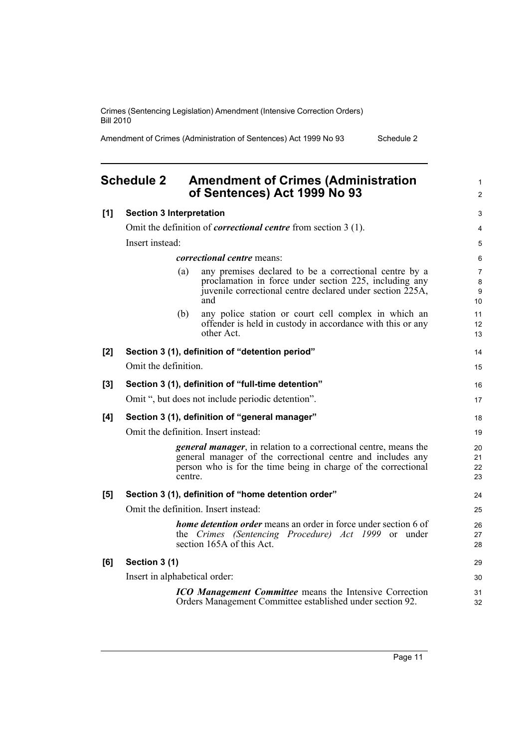Amendment of Crimes (Administration of Sentences) Act 1999 No 93 Schedule 2

#### <span id="page-20-0"></span>**Schedule 2 Amendment of Crimes (Administration of Sentences) Act 1999 No 93 [1] Section 3 Interpretation** Omit the definition of *correctional centre* from section 3 (1). Insert instead: *correctional centre* means: (a) any premises declared to be a correctional centre by a proclamation in force under section 225, including any juvenile correctional centre declared under section 225A, and (b) any police station or court cell complex in which an offender is held in custody in accordance with this or any other Act. **[2] Section 3 (1), definition of "detention period"** Omit the definition. **[3] Section 3 (1), definition of "full-time detention"** Omit ", but does not include periodic detention". **[4] Section 3 (1), definition of "general manager"** Omit the definition. Insert instead: *general manager*, in relation to a correctional centre, means the general manager of the correctional centre and includes any person who is for the time being in charge of the correctional centre. **[5] Section 3 (1), definition of "home detention order"** Omit the definition. Insert instead: *home detention order* means an order in force under section 6 of the *Crimes (Sentencing Procedure) Act 1999* or under section 165A of this Act. **[6] Section 3 (1)** Insert in alphabetical order: *ICO Management Committee* means the Intensive Correction Orders Management Committee established under section 92. 1  $\mathfrak{p}$  $\overline{a}$ 4 5 6 7 8 9 10 11 12 13 14 15 16 17 18 19  $20$ 21 22 23  $24$ 25  $26$ 27 28 29 30 31  $32$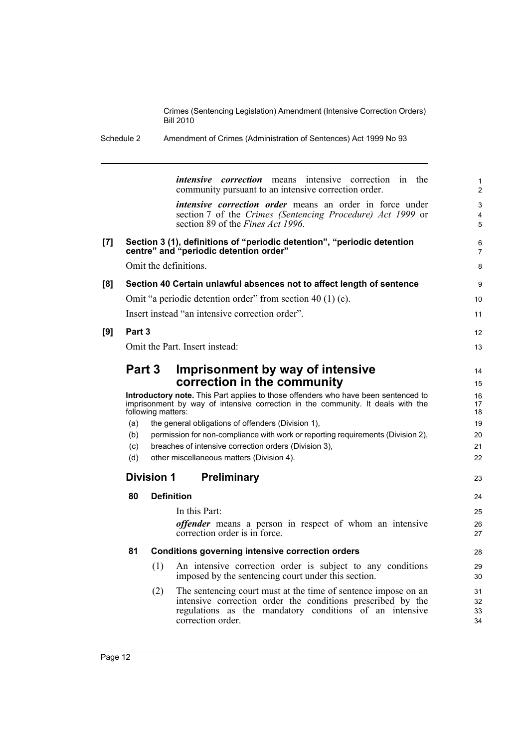Schedule 2 Amendment of Crimes (Administration of Sentences) Act 1999 No 93

|     |        | intensive correction in the<br><i>intensive correction</i> means<br>community pursuant to an intensive correction order.                                                                    |                                        |
|-----|--------|---------------------------------------------------------------------------------------------------------------------------------------------------------------------------------------------|----------------------------------------|
|     |        | <i>intensive correction order</i> means an order in force under<br>section 7 of the Crimes (Sentencing Procedure) Act 1999 or<br>section 89 of the Fines Act 1996.                          |                                        |
| [7] |        | Section 3 (1), definitions of "periodic detention", "periodic detention<br>centre" and "periodic detention order"                                                                           |                                        |
|     |        | Omit the definitions.                                                                                                                                                                       |                                        |
| [8] |        | Section 40 Certain unlawful absences not to affect length of sentence                                                                                                                       |                                        |
|     |        | Omit "a periodic detention order" from section 40 (1) (c).                                                                                                                                  | 10                                     |
|     |        | Insert instead "an intensive correction order".                                                                                                                                             | 11                                     |
| [9] | Part 3 |                                                                                                                                                                                             | 12                                     |
|     |        | Omit the Part. Insert instead:                                                                                                                                                              | 13                                     |
|     |        |                                                                                                                                                                                             |                                        |
|     |        | Imprisonment by way of intensive<br><b>Part 3</b>                                                                                                                                           | 14                                     |
|     |        | correction in the community                                                                                                                                                                 | 15                                     |
|     |        | Introductory note. This Part applies to those offenders who have been sentenced to<br>imprisonment by way of intensive correction in the community. It deals with the<br>following matters: | 16<br>17<br>18                         |
|     | (a)    | the general obligations of offenders (Division 1),                                                                                                                                          | 19                                     |
|     | (b)    | permission for non-compliance with work or reporting requirements (Division 2),                                                                                                             | 20                                     |
|     | (c)    | breaches of intensive correction orders (Division 3),                                                                                                                                       | 21                                     |
|     | (d)    | other miscellaneous matters (Division 4).                                                                                                                                                   | 22                                     |
|     |        | <b>Preliminary</b><br>Division 1                                                                                                                                                            | 23                                     |
|     | 80     | <b>Definition</b>                                                                                                                                                                           | 24                                     |
|     |        |                                                                                                                                                                                             |                                        |
|     |        | In this Part:                                                                                                                                                                               |                                        |
|     |        | <i>offender</i> means a person in respect of whom an intensive                                                                                                                              |                                        |
|     |        | correction order is in force.                                                                                                                                                               |                                        |
|     | 81     | <b>Conditions governing intensive correction orders</b>                                                                                                                                     |                                        |
|     |        | (1)<br>An intensive correction order is subject to any conditions<br>imposed by the sentencing court under this section.                                                                    |                                        |
|     |        | The sentencing court must at the time of sentence impose on an<br>(2)                                                                                                                       | 25<br>26<br>27<br>28<br>29<br>30<br>31 |
|     |        | intensive correction order the conditions prescribed by the<br>regulations as the mandatory conditions of an intensive                                                                      | 32<br>33                               |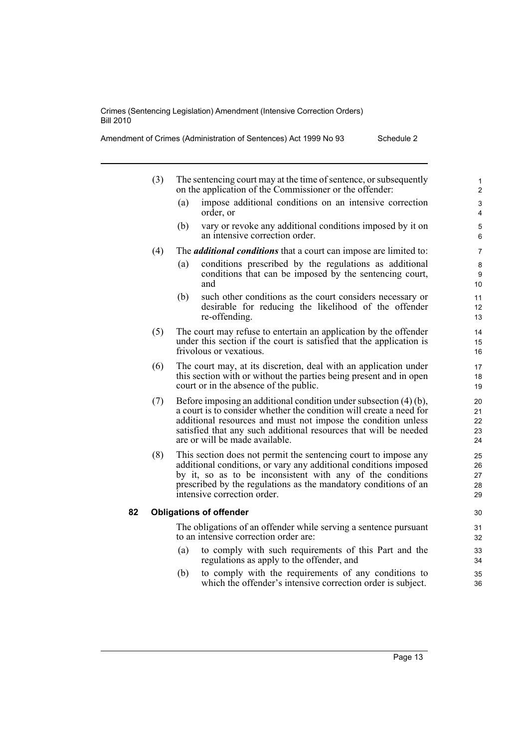- (3) The sentencing court may at the time of sentence, or subsequently on the application of the Commissioner or the offender:
	- (a) impose additional conditions on an intensive correction order, or
	- (b) vary or revoke any additional conditions imposed by it on an intensive correction order.
- (4) The *additional conditions* that a court can impose are limited to:
	- (a) conditions prescribed by the regulations as additional conditions that can be imposed by the sentencing court, and
	- (b) such other conditions as the court considers necessary or desirable for reducing the likelihood of the offender re-offending.
- (5) The court may refuse to entertain an application by the offender under this section if the court is satisfied that the application is frivolous or vexatious.
- (6) The court may, at its discretion, deal with an application under this section with or without the parties being present and in open court or in the absence of the public.
- (7) Before imposing an additional condition under subsection (4) (b), a court is to consider whether the condition will create a need for additional resources and must not impose the condition unless satisfied that any such additional resources that will be needed are or will be made available.
- (8) This section does not permit the sentencing court to impose any additional conditions, or vary any additional conditions imposed by it, so as to be inconsistent with any of the conditions prescribed by the regulations as the mandatory conditions of an intensive correction order.

#### **82 Obligations of offender**

The obligations of an offender while serving a sentence pursuant to an intensive correction order are:

- (a) to comply with such requirements of this Part and the regulations as apply to the offender, and
- (b) to comply with the requirements of any conditions to which the offender's intensive correction order is subject.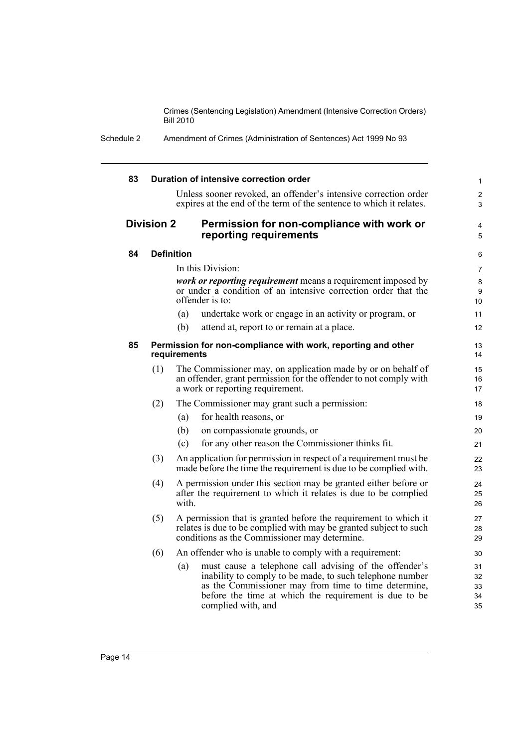Schedule 2 Amendment of Crimes (Administration of Sentences) Act 1999 No 93

| 83 |                                                                              |       | Duration of intensive correction order                                                                                                                                                                                                                    |                            |  |
|----|------------------------------------------------------------------------------|-------|-----------------------------------------------------------------------------------------------------------------------------------------------------------------------------------------------------------------------------------------------------------|----------------------------|--|
|    |                                                                              |       | Unless sooner revoked, an offender's intensive correction order<br>expires at the end of the term of the sentence to which it relates.                                                                                                                    |                            |  |
|    | <b>Division 2</b>                                                            |       | Permission for non-compliance with work or<br>reporting requirements                                                                                                                                                                                      |                            |  |
| 84 | <b>Definition</b>                                                            |       |                                                                                                                                                                                                                                                           |                            |  |
|    |                                                                              |       | In this Division:                                                                                                                                                                                                                                         |                            |  |
|    |                                                                              |       | <i>work or reporting requirement</i> means a requirement imposed by<br>or under a condition of an intensive correction order that the<br>offender is to:                                                                                                  | 10                         |  |
|    |                                                                              | (a)   | undertake work or engage in an activity or program, or                                                                                                                                                                                                    | 11                         |  |
|    |                                                                              | (b)   | attend at, report to or remain at a place.                                                                                                                                                                                                                | 12                         |  |
| 85 | Permission for non-compliance with work, reporting and other<br>requirements |       |                                                                                                                                                                                                                                                           |                            |  |
|    | (1)                                                                          |       | The Commissioner may, on application made by or on behalf of<br>an offender, grant permission for the offender to not comply with<br>a work or reporting requirement.                                                                                     | 15<br>16<br>17             |  |
|    | (2)                                                                          |       | The Commissioner may grant such a permission:                                                                                                                                                                                                             | 18                         |  |
|    |                                                                              | (a)   | for health reasons, or                                                                                                                                                                                                                                    | 19                         |  |
|    |                                                                              | (b)   | on compassionate grounds, or                                                                                                                                                                                                                              | 20                         |  |
|    |                                                                              | (c)   | for any other reason the Commissioner thinks fit.                                                                                                                                                                                                         | 21                         |  |
|    | (3)                                                                          |       | An application for permission in respect of a requirement must be<br>made before the time the requirement is due to be complied with.                                                                                                                     | 22<br>23                   |  |
|    | (4)                                                                          | with. | A permission under this section may be granted either before or<br>after the requirement to which it relates is due to be complied                                                                                                                        | 24<br>25<br>26             |  |
|    | (5)                                                                          |       | A permission that is granted before the requirement to which it<br>relates is due to be complied with may be granted subject to such<br>conditions as the Commissioner may determine.                                                                     | 27<br>28<br>29             |  |
|    | (6)                                                                          |       | An offender who is unable to comply with a requirement:                                                                                                                                                                                                   | 30                         |  |
|    |                                                                              | (a)   | must cause a telephone call advising of the offender's<br>inability to comply to be made, to such telephone number<br>as the Commissioner may from time to time determine,<br>before the time at which the requirement is due to be<br>complied with, and | 31<br>32<br>33<br>34<br>35 |  |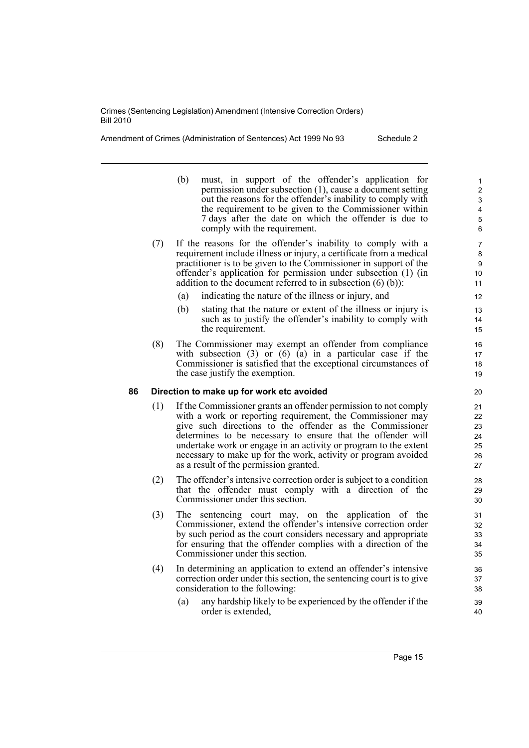Amendment of Crimes (Administration of Sentences) Act 1999 No 93 Schedule 2

- (b) must, in support of the offender's application for permission under subsection (1), cause a document setting out the reasons for the offender's inability to comply with the requirement to be given to the Commissioner within 7 days after the date on which the offender is due to comply with the requirement.
- (7) If the reasons for the offender's inability to comply with a requirement include illness or injury, a certificate from a medical practitioner is to be given to the Commissioner in support of the offender's application for permission under subsection (1) (in addition to the document referred to in subsection  $(6)$   $(b)$ ):
	- (a) indicating the nature of the illness or injury, and
	- (b) stating that the nature or extent of the illness or injury is such as to justify the offender's inability to comply with the requirement.
- (8) The Commissioner may exempt an offender from compliance with subsection  $(3)$  or  $(6)$   $(a)$  in a particular case if the Commissioner is satisfied that the exceptional circumstances of the case justify the exemption.

#### **86 Direction to make up for work etc avoided**

- (1) If the Commissioner grants an offender permission to not comply with a work or reporting requirement, the Commissioner may give such directions to the offender as the Commissioner determines to be necessary to ensure that the offender will undertake work or engage in an activity or program to the extent necessary to make up for the work, activity or program avoided as a result of the permission granted.
- (2) The offender's intensive correction order is subject to a condition that the offender must comply with a direction of the Commissioner under this section.
- (3) The sentencing court may, on the application of the Commissioner, extend the offender's intensive correction order by such period as the court considers necessary and appropriate for ensuring that the offender complies with a direction of the Commissioner under this section.
- (4) In determining an application to extend an offender's intensive correction order under this section, the sentencing court is to give consideration to the following:
	- (a) any hardship likely to be experienced by the offender if the order is extended,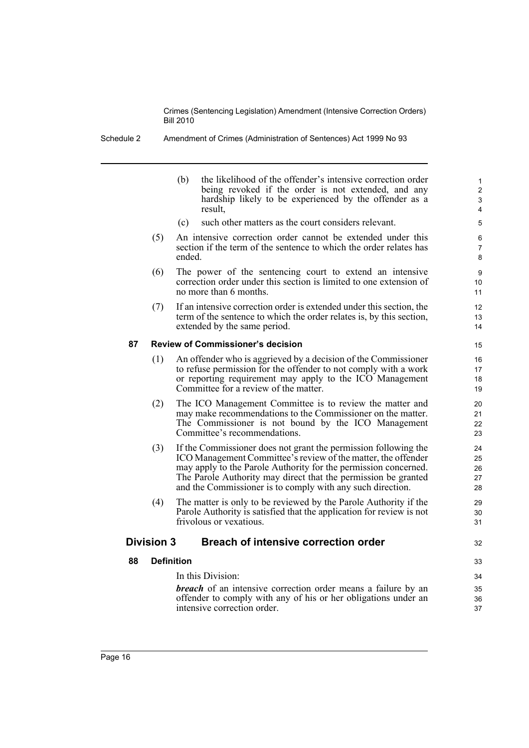Schedule 2 Amendment of Crimes (Administration of Sentences) Act 1999 No 93

(b) the likelihood of the offender's intensive correction order being revoked if the order is not extended, and any hardship likely to be experienced by the offender as a result,

32

- (c) such other matters as the court considers relevant.
- (5) An intensive correction order cannot be extended under this section if the term of the sentence to which the order relates has ended.
- (6) The power of the sentencing court to extend an intensive correction order under this section is limited to one extension of no more than 6 months.
- (7) If an intensive correction order is extended under this section, the term of the sentence to which the order relates is, by this section, extended by the same period.

#### **87 Review of Commissioner's decision**

- (1) An offender who is aggrieved by a decision of the Commissioner to refuse permission for the offender to not comply with a work or reporting requirement may apply to the ICO Management Committee for a review of the matter.
- (2) The ICO Management Committee is to review the matter and may make recommendations to the Commissioner on the matter. The Commissioner is not bound by the ICO Management Committee's recommendations.
- (3) If the Commissioner does not grant the permission following the ICO Management Committee's review of the matter, the offender may apply to the Parole Authority for the permission concerned. The Parole Authority may direct that the permission be granted and the Commissioner is to comply with any such direction.
- (4) The matter is only to be reviewed by the Parole Authority if the Parole Authority is satisfied that the application for review is not frivolous or vexatious.

### **Division 3 Breach of intensive correction order**

#### **88 Definition**

#### In this Division:

*breach* of an intensive correction order means a failure by an offender to comply with any of his or her obligations under an intensive correction order.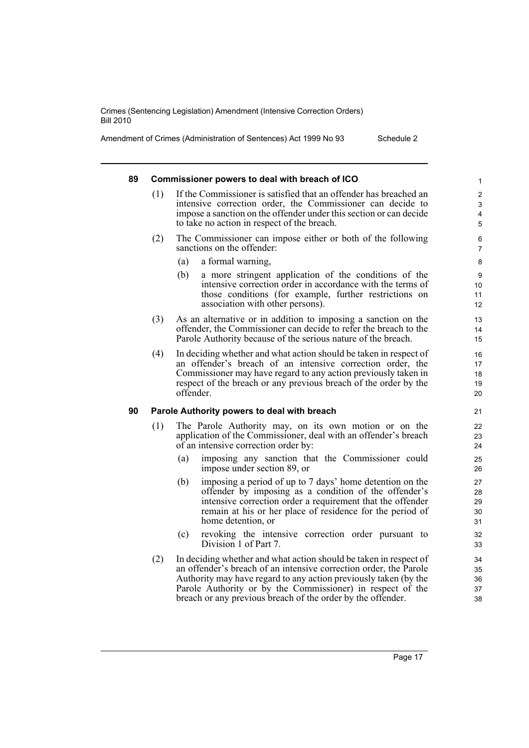Amendment of Crimes (Administration of Sentences) Act 1999 No 93 Schedule 2

#### **89 Commissioner powers to deal with breach of ICO** (1) If the Commissioner is satisfied that an offender has breached an intensive correction order, the Commissioner can decide to impose a sanction on the offender under this section or can decide to take no action in respect of the breach. (2) The Commissioner can impose either or both of the following sanctions on the offender: (a) a formal warning, (b) a more stringent application of the conditions of the intensive correction order in accordance with the terms of those conditions (for example, further restrictions on association with other persons). (3) As an alternative or in addition to imposing a sanction on the offender, the Commissioner can decide to refer the breach to the Parole Authority because of the serious nature of the breach. (4) In deciding whether and what action should be taken in respect of an offender's breach of an intensive correction order, the Commissioner may have regard to any action previously taken in respect of the breach or any previous breach of the order by the offender. **90 Parole Authority powers to deal with breach** (1) The Parole Authority may, on its own motion or on the application of the Commissioner, deal with an offender's breach of an intensive correction order by: (a) imposing any sanction that the Commissioner could impose under section 89, or (b) imposing a period of up to 7 days' home detention on the offender by imposing as a condition of the offender's intensive correction order a requirement that the offender remain at his or her place of residence for the period of home detention, or (c) revoking the intensive correction order pursuant to Division 1 of Part 7. 1 2 3 4 5 6 7 8 9 10 11 12 13 14 15 16 17 18 19 20 21 22 23 24 25 26 27 28 29 30 31 32 33 34

(2) In deciding whether and what action should be taken in respect of an offender's breach of an intensive correction order, the Parole Authority may have regard to any action previously taken (by the Parole Authority or by the Commissioner) in respect of the breach or any previous breach of the order by the offender.

Page 17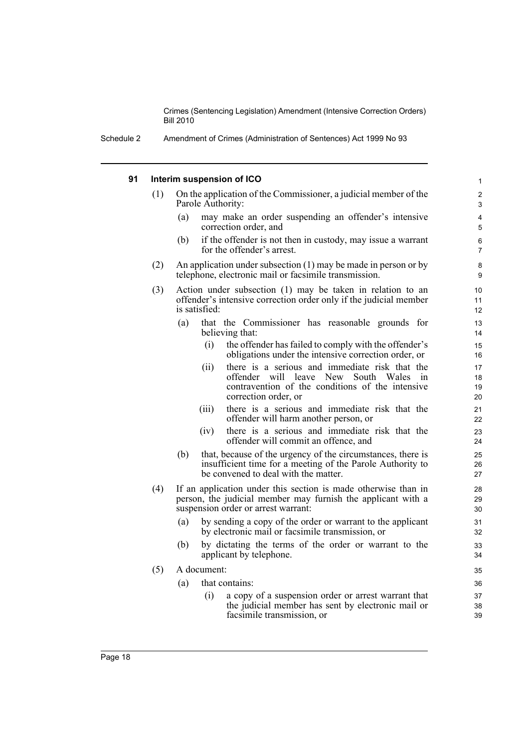#### **91 Interim suspension of ICO**

- (1) On the application of the Commissioner, a judicial member of the Parole Authority:
	- (a) may make an order suspending an offender's intensive correction order, and

- (b) if the offender is not then in custody, may issue a warrant for the offender's arrest.
- (2) An application under subsection (1) may be made in person or by telephone, electronic mail or facsimile transmission.
- (3) Action under subsection (1) may be taken in relation to an offender's intensive correction order only if the judicial member is satisfied:
	- (a) that the Commissioner has reasonable grounds for believing that:
		- (i) the offender has failed to comply with the offender's obligations under the intensive correction order, or
		- (ii) there is a serious and immediate risk that the offender will leave New South Wales in contravention of the conditions of the intensive correction order, or
		- (iii) there is a serious and immediate risk that the offender will harm another person, or
		- (iv) there is a serious and immediate risk that the offender will commit an offence, and
	- (b) that, because of the urgency of the circumstances, there is insufficient time for a meeting of the Parole Authority to be convened to deal with the matter.
- (4) If an application under this section is made otherwise than in person, the judicial member may furnish the applicant with a suspension order or arrest warrant:
	- (a) by sending a copy of the order or warrant to the applicant by electronic mail or facsimile transmission, or
	- (b) by dictating the terms of the order or warrant to the applicant by telephone.
- (5) A document:
	- (a) that contains:
		- (i) a copy of a suspension order or arrest warrant that the judicial member has sent by electronic mail or facsimile transmission, or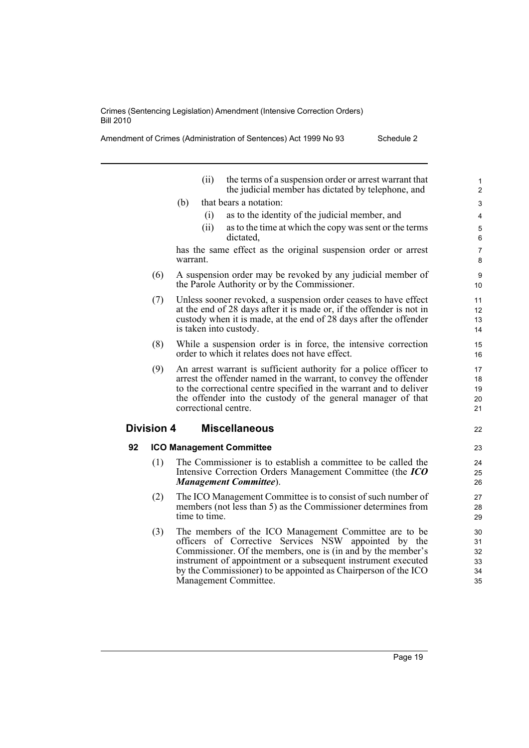Amendment of Crimes (Administration of Sentences) Act 1999 No 93 Schedule 2

|    |                   | the terms of a suspension order or arrest warrant that<br>(ii)<br>the judicial member has dictated by telephone, and                                                                                                                                                                                                                      | 1<br>$\overline{2}$              |
|----|-------------------|-------------------------------------------------------------------------------------------------------------------------------------------------------------------------------------------------------------------------------------------------------------------------------------------------------------------------------------------|----------------------------------|
|    |                   | that bears a notation:<br>(b)                                                                                                                                                                                                                                                                                                             | 3                                |
|    |                   | as to the identity of the judicial member, and<br>(i)                                                                                                                                                                                                                                                                                     | 4                                |
|    |                   | (ii)<br>as to the time at which the copy was sent or the terms<br>dictated,                                                                                                                                                                                                                                                               | 5<br>6                           |
|    |                   | has the same effect as the original suspension order or arrest<br>warrant.                                                                                                                                                                                                                                                                | $\overline{7}$<br>8              |
|    | (6)               | A suspension order may be revoked by any judicial member of<br>the Parole Authority or by the Commissioner.                                                                                                                                                                                                                               | 9<br>10                          |
|    | (7)               | Unless sooner revoked, a suspension order ceases to have effect<br>at the end of 28 days after it is made or, if the offender is not in<br>custody when it is made, at the end of 28 days after the offender<br>is taken into custody.                                                                                                    | 11<br>12<br>13<br>14             |
|    | (8)               | While a suspension order is in force, the intensive correction<br>order to which it relates does not have effect.                                                                                                                                                                                                                         | 15<br>16                         |
|    | (9)               | An arrest warrant is sufficient authority for a police officer to<br>arrest the offender named in the warrant, to convey the offender<br>to the correctional centre specified in the warrant and to deliver<br>the offender into the custody of the general manager of that<br>correctional centre.                                       | 17<br>18<br>19<br>20<br>21       |
|    | <b>Division 4</b> | <b>Miscellaneous</b>                                                                                                                                                                                                                                                                                                                      | 22                               |
| 92 |                   | <b>ICO Management Committee</b>                                                                                                                                                                                                                                                                                                           | 23                               |
|    | (1)               | The Commissioner is to establish a committee to be called the<br>Intensive Correction Orders Management Committee (the ICO<br><b>Management Committee</b> ).                                                                                                                                                                              | 24<br>25<br>26                   |
|    | (2)               | The ICO Management Committee is to consist of such number of<br>members (not less than 5) as the Commissioner determines from<br>time to time.                                                                                                                                                                                            | 27<br>28<br>29                   |
|    | (3)               | The members of the ICO Management Committee are to be<br>officers of Corrective Services NSW appointed by the<br>Commissioner. Of the members, one is (in and by the member's<br>instrument of appointment or a subsequent instrument executed<br>by the Commissioner) to be appointed as Chairperson of the ICO<br>Management Committee. | 30<br>31<br>32<br>33<br>34<br>35 |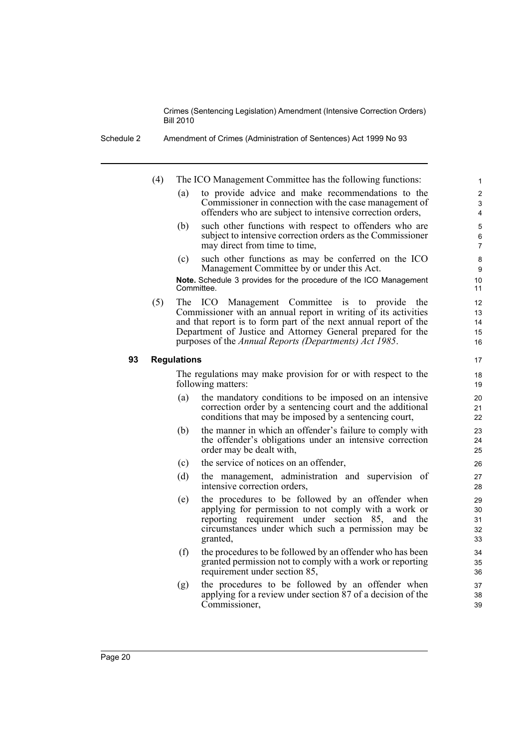Schedule 2 Amendment of Crimes (Administration of Sentences) Act 1999 No 93

- (4) The ICO Management Committee has the following functions:
	- (a) to provide advice and make recommendations to the Commissioner in connection with the case management of offenders who are subject to intensive correction orders,

- (b) such other functions with respect to offenders who are subject to intensive correction orders as the Commissioner may direct from time to time,
- (c) such other functions as may be conferred on the ICO Management Committee by or under this Act.

**Note.** Schedule 3 provides for the procedure of the ICO Management Committee.

(5) The ICO Management Committee is to provide the Commissioner with an annual report in writing of its activities and that report is to form part of the next annual report of the Department of Justice and Attorney General prepared for the purposes of the *Annual Reports (Departments) Act 1985*.

#### **93 Regulations**

The regulations may make provision for or with respect to the following matters:

- (a) the mandatory conditions to be imposed on an intensive correction order by a sentencing court and the additional conditions that may be imposed by a sentencing court,
- (b) the manner in which an offender's failure to comply with the offender's obligations under an intensive correction order may be dealt with,
- (c) the service of notices on an offender,
- (d) the management, administration and supervision of intensive correction orders,
- (e) the procedures to be followed by an offender when applying for permission to not comply with a work or reporting requirement under section 85, and the circumstances under which such a permission may be granted,
- (f) the procedures to be followed by an offender who has been granted permission not to comply with a work or reporting requirement under section 85,
- (g) the procedures to be followed by an offender when applying for a review under section 87 of a decision of the Commissioner,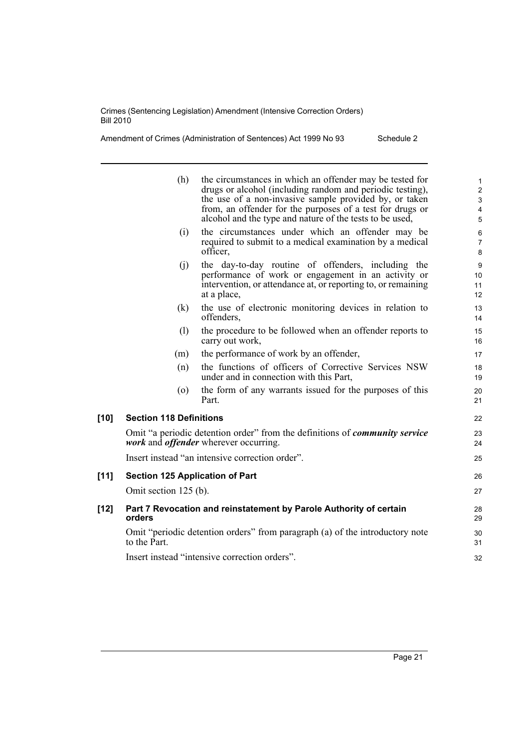Amendment of Crimes (Administration of Sentences) Act 1999 No 93 Schedule 2

|        | (h)                                    | the circumstances in which an offender may be tested for<br>drugs or alcohol (including random and periodic testing),<br>the use of a non-invasive sample provided by, or taken<br>from, an offender for the purposes of a test for drugs or<br>alcohol and the type and nature of the tests to be used, | $\mathbf 1$<br>$\overline{2}$<br>3<br>$\overline{4}$<br>5 |
|--------|----------------------------------------|----------------------------------------------------------------------------------------------------------------------------------------------------------------------------------------------------------------------------------------------------------------------------------------------------------|-----------------------------------------------------------|
|        | (i)                                    | the circumstances under which an offender may be<br>required to submit to a medical examination by a medical<br>officer,                                                                                                                                                                                 | 6<br>$\overline{7}$<br>8                                  |
|        | (j)                                    | the day-to-day routine of offenders, including the<br>performance of work or engagement in an activity or<br>intervention, or attendance at, or reporting to, or remaining<br>at a place,                                                                                                                | 9<br>10<br>11<br>$12 \overline{ }$                        |
|        | (k)                                    | the use of electronic monitoring devices in relation to<br>offenders,                                                                                                                                                                                                                                    | 13<br>14                                                  |
|        | (1)                                    | the procedure to be followed when an offender reports to<br>carry out work,                                                                                                                                                                                                                              | 15<br>16                                                  |
|        | (m)                                    | the performance of work by an offender,                                                                                                                                                                                                                                                                  | 17                                                        |
|        | (n)                                    | the functions of officers of Corrective Services NSW<br>under and in connection with this Part,                                                                                                                                                                                                          | 18<br>19                                                  |
|        | $\left( 0 \right)$                     | the form of any warrants issued for the purposes of this<br>Part.                                                                                                                                                                                                                                        | 20<br>21                                                  |
| [10]   | <b>Section 118 Definitions</b>         |                                                                                                                                                                                                                                                                                                          | 22                                                        |
|        |                                        | Omit "a periodic detention order" from the definitions of <i>community service</i><br><i>work</i> and <i>offender</i> wherever occurring.                                                                                                                                                                | 23<br>24                                                  |
|        |                                        | Insert instead "an intensive correction order".                                                                                                                                                                                                                                                          | 25                                                        |
| $[11]$ | <b>Section 125 Application of Part</b> |                                                                                                                                                                                                                                                                                                          | 26                                                        |
|        | Omit section 125 (b).                  |                                                                                                                                                                                                                                                                                                          | 27                                                        |
| [12]   | orders                                 | Part 7 Revocation and reinstatement by Parole Authority of certain                                                                                                                                                                                                                                       | 28<br>29                                                  |
|        | to the Part.                           | Omit "periodic detention orders" from paragraph (a) of the introductory note                                                                                                                                                                                                                             | 30<br>31                                                  |
|        |                                        | Insert instead "intensive correction orders".                                                                                                                                                                                                                                                            | 32                                                        |
|        |                                        |                                                                                                                                                                                                                                                                                                          |                                                           |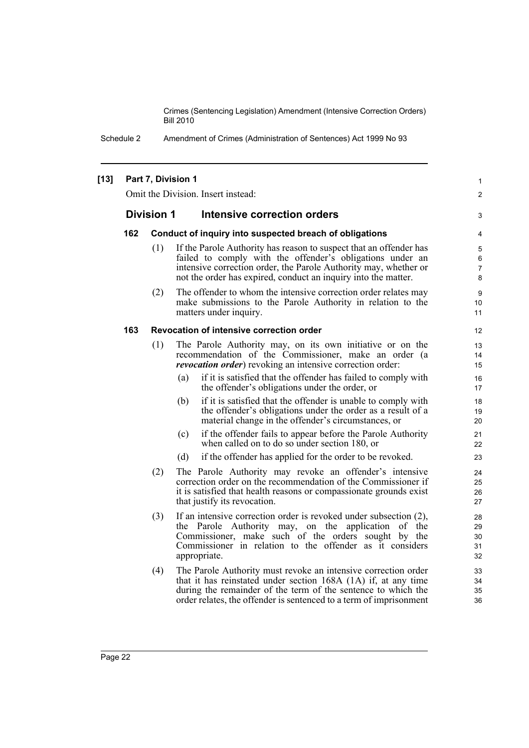> 1  $\mathfrak{p}$

3

Schedule 2 Amendment of Crimes (Administration of Sentences) Act 1999 No 93

#### **[13] Part 7, Division 1**

Omit the Division. Insert instead:

#### **Division 1 Intensive correction orders**

#### **162 Conduct of inquiry into suspected breach of obligations**

- (1) If the Parole Authority has reason to suspect that an offender has failed to comply with the offender's obligations under an intensive correction order, the Parole Authority may, whether or not the order has expired, conduct an inquiry into the matter.
- (2) The offender to whom the intensive correction order relates may make submissions to the Parole Authority in relation to the matters under inquiry.

#### **163 Revocation of intensive correction order**

- (1) The Parole Authority may, on its own initiative or on the recommendation of the Commissioner, make an order (a *revocation order*) revoking an intensive correction order:
	- (a) if it is satisfied that the offender has failed to comply with the offender's obligations under the order, or
	- (b) if it is satisfied that the offender is unable to comply with the offender's obligations under the order as a result of a material change in the offender's circumstances, or
	- (c) if the offender fails to appear before the Parole Authority when called on to do so under section 180, or
	- (d) if the offender has applied for the order to be revoked.
- (2) The Parole Authority may revoke an offender's intensive correction order on the recommendation of the Commissioner if it is satisfied that health reasons or compassionate grounds exist that justify its revocation.
- (3) If an intensive correction order is revoked under subsection (2), the Parole Authority may, on the application of the Commissioner, make such of the orders sought by the Commissioner in relation to the offender as it considers appropriate.
- (4) The Parole Authority must revoke an intensive correction order that it has reinstated under section 168A (1A) if, at any time during the remainder of the term of the sentence to which the order relates, the offender is sentenced to a term of imprisonment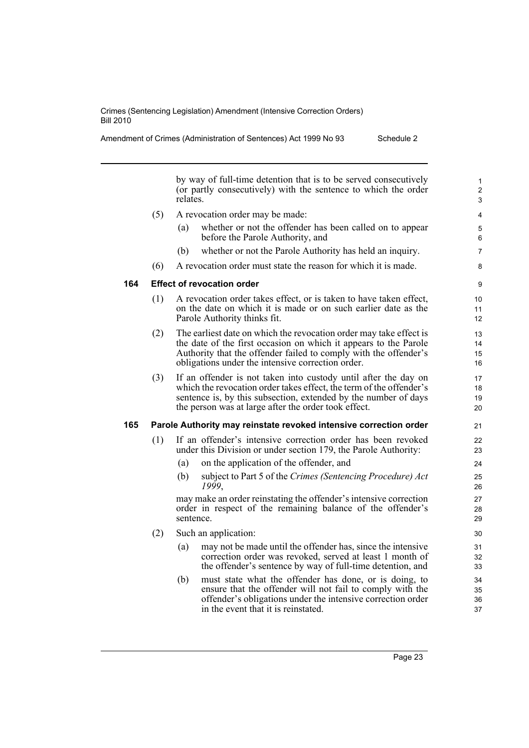Amendment of Crimes (Administration of Sentences) Act 1999 No 93 Schedule 2

by way of full-time detention that is to be served consecutively (or partly consecutively) with the sentence to which the order relates.

(5) A revocation order may be made: (a) whether or not the offender has been called on to appear before the Parole Authority, and (b) whether or not the Parole Authority has held an inquiry. (6) A revocation order must state the reason for which it is made. **164 Effect of revocation order** (1) A revocation order takes effect, or is taken to have taken effect, on the date on which it is made or on such earlier date as the Parole Authority thinks fit. (2) The earliest date on which the revocation order may take effect is the date of the first occasion on which it appears to the Parole Authority that the offender failed to comply with the offender's obligations under the intensive correction order. (3) If an offender is not taken into custody until after the day on which the revocation order takes effect, the term of the offender's sentence is, by this subsection, extended by the number of days the person was at large after the order took effect. **165 Parole Authority may reinstate revoked intensive correction order** (1) If an offender's intensive correction order has been revoked under this Division or under section 179, the Parole Authority: (a) on the application of the offender, and (b) subject to Part 5 of the *Crimes (Sentencing Procedure) Act 1999*, may make an order reinstating the offender's intensive correction order in respect of the remaining balance of the offender's sentence. (2) Such an application: (a) may not be made until the offender has, since the intensive correction order was revoked, served at least 1 month of the offender's sentence by way of full-time detention, and (b) must state what the offender has done, or is doing, to ensure that the offender will not fail to comply with the 4 5 6 7 8 9 10 11 12 13 14 15 16 17 18 19 20 21  $22$ 23 24 25 26 27 28 29 30 31 32 33 34 35

offender's obligations under the intensive correction order

in the event that it is reinstated.

36 37

1  $\overline{2}$ 3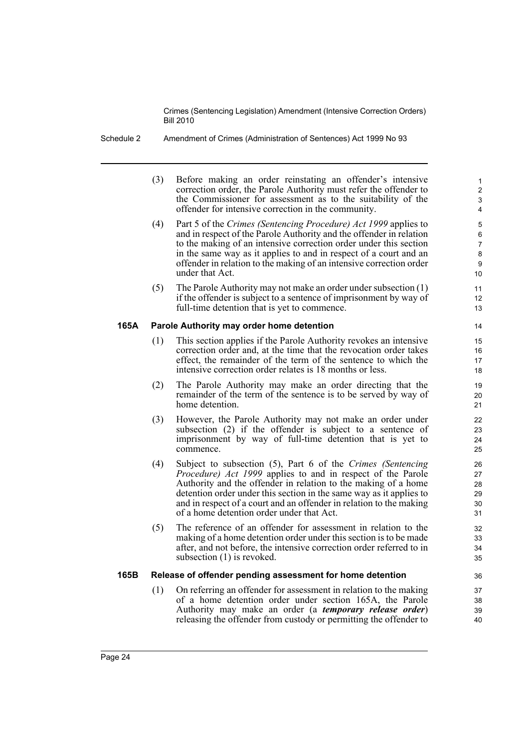- Schedule 2 Amendment of Crimes (Administration of Sentences) Act 1999 No 93
	- (3) Before making an order reinstating an offender's intensive correction order, the Parole Authority must refer the offender to the Commissioner for assessment as to the suitability of the offender for intensive correction in the community.

- (4) Part 5 of the *Crimes (Sentencing Procedure) Act 1999* applies to and in respect of the Parole Authority and the offender in relation to the making of an intensive correction order under this section in the same way as it applies to and in respect of a court and an offender in relation to the making of an intensive correction order under that Act.
- (5) The Parole Authority may not make an order under subsection (1) if the offender is subject to a sentence of imprisonment by way of full-time detention that is yet to commence.

#### **165A Parole Authority may order home detention**

- (1) This section applies if the Parole Authority revokes an intensive correction order and, at the time that the revocation order takes effect, the remainder of the term of the sentence to which the intensive correction order relates is 18 months or less.
- (2) The Parole Authority may make an order directing that the remainder of the term of the sentence is to be served by way of home detention.
- (3) However, the Parole Authority may not make an order under subsection (2) if the offender is subject to a sentence of imprisonment by way of full-time detention that is yet to commence.
- (4) Subject to subsection (5), Part 6 of the *Crimes (Sentencing Procedure) Act 1999* applies to and in respect of the Parole Authority and the offender in relation to the making of a home detention order under this section in the same way as it applies to and in respect of a court and an offender in relation to the making of a home detention order under that Act.
- (5) The reference of an offender for assessment in relation to the making of a home detention order under this section is to be made after, and not before, the intensive correction order referred to in subsection (1) is revoked.

#### **165B Release of offender pending assessment for home detention**

(1) On referring an offender for assessment in relation to the making of a home detention order under section 165A, the Parole Authority may make an order (a *temporary release order*) releasing the offender from custody or permitting the offender to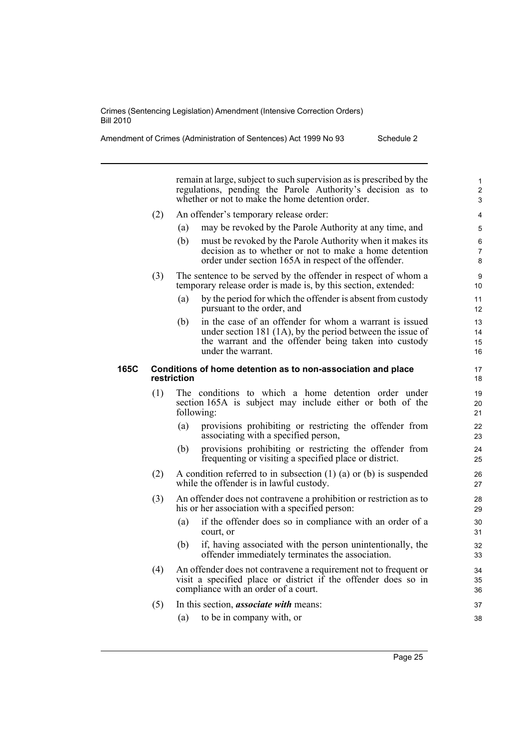remain at large, subject to such supervision as is prescribed by the regulations, pending the Parole Authority's decision as to whether or not to make the home detention order.

- (2) An offender's temporary release order:
	- (a) may be revoked by the Parole Authority at any time, and
	- (b) must be revoked by the Parole Authority when it makes its decision as to whether or not to make a home detention order under section 165A in respect of the offender.
- (3) The sentence to be served by the offender in respect of whom a temporary release order is made is, by this section, extended:
	- (a) by the period for which the offender is absent from custody pursuant to the order, and
	- (b) in the case of an offender for whom a warrant is issued under section 181 (1A), by the period between the issue of the warrant and the offender being taken into custody under the warrant.

#### **165C Conditions of home detention as to non-association and place restriction**

- (1) The conditions to which a home detention order under section 165A is subject may include either or both of the following:
	- (a) provisions prohibiting or restricting the offender from associating with a specified person,
	- (b) provisions prohibiting or restricting the offender from frequenting or visiting a specified place or district.
- (2) A condition referred to in subsection (1) (a) or (b) is suspended while the offender is in lawful custody.
- (3) An offender does not contravene a prohibition or restriction as to his or her association with a specified person:
	- (a) if the offender does so in compliance with an order of a court, or
	- (b) if, having associated with the person unintentionally, the offender immediately terminates the association.
- (4) An offender does not contravene a requirement not to frequent or visit a specified place or district if the offender does so in compliance with an order of a court.
- (5) In this section, *associate with* means:
	- (a) to be in company with, or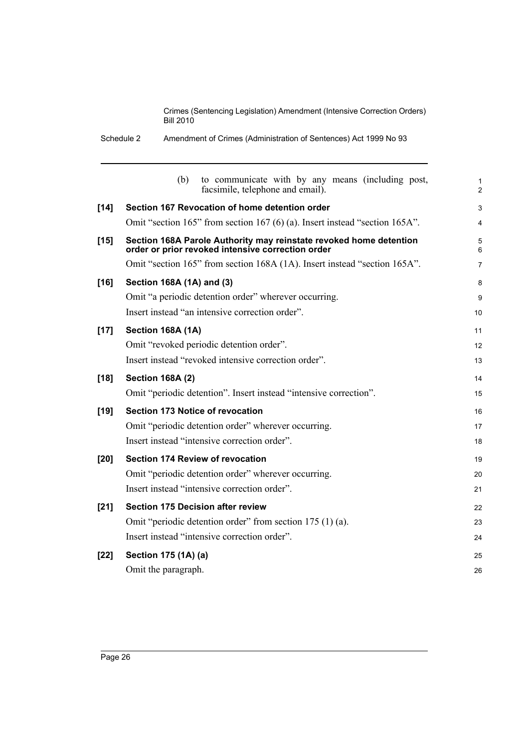Schedule 2 Amendment of Crimes (Administration of Sentences) Act 1999 No 93

|        | to communicate with by any means (including post,<br>(b)<br>facsimile, telephone and email).                            | 1<br>$\overline{2}$ |
|--------|-------------------------------------------------------------------------------------------------------------------------|---------------------|
| $[14]$ | Section 167 Revocation of home detention order                                                                          | 3                   |
|        | Omit "section 165" from section 167 (6) (a). Insert instead "section 165A".                                             | 4                   |
| $[15]$ | Section 168A Parole Authority may reinstate revoked home detention<br>order or prior revoked intensive correction order | 5<br>6              |
|        | Omit "section 165" from section 168A (1A). Insert instead "section 165A".                                               | 7                   |
| $[16]$ | Section 168A (1A) and (3)                                                                                               | 8                   |
|        | Omit "a periodic detention order" wherever occurring.                                                                   | 9                   |
|        | Insert instead "an intensive correction order".                                                                         | 10                  |
| $[17]$ | Section 168A (1A)                                                                                                       | 11                  |
|        | Omit "revoked periodic detention order".                                                                                | 12                  |
|        | Insert instead "revoked intensive correction order".                                                                    | 13                  |
| $[18]$ | <b>Section 168A (2)</b>                                                                                                 | 14                  |
|        | Omit "periodic detention". Insert instead "intensive correction".                                                       | 15                  |
| $[19]$ | <b>Section 173 Notice of revocation</b>                                                                                 | 16                  |
|        | Omit "periodic detention order" wherever occurring.                                                                     | 17                  |
|        | Insert instead "intensive correction order".                                                                            | 18                  |
| $[20]$ | Section 174 Review of revocation                                                                                        | 19                  |
|        | Omit "periodic detention order" wherever occurring.                                                                     | 20                  |
|        | Insert instead "intensive correction order".                                                                            | 21                  |
| $[21]$ | <b>Section 175 Decision after review</b>                                                                                | 22                  |
|        | Omit "periodic detention order" from section 175 (1) (a).                                                               | 23                  |
|        | Insert instead "intensive correction order".                                                                            | 24                  |
| $[22]$ | Section 175 (1A) (a)                                                                                                    | 25                  |
|        | Omit the paragraph.                                                                                                     | 26                  |
|        |                                                                                                                         |                     |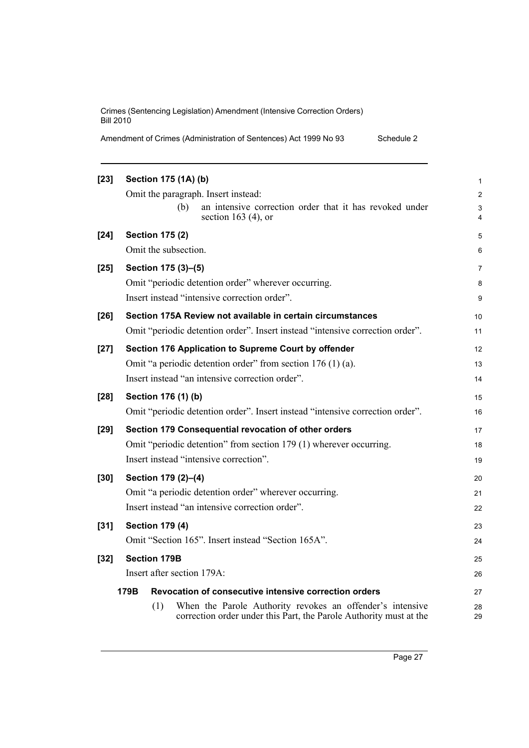|  | Amendment of Crimes (Administration of Sentences) Act 1999 No 93 |  | Schedule 2 |
|--|------------------------------------------------------------------|--|------------|
|--|------------------------------------------------------------------|--|------------|

| $[23]$ | Section 175 (1A) (b)                                                                                                                   | $\mathbf{1}$        |
|--------|----------------------------------------------------------------------------------------------------------------------------------------|---------------------|
|        | Omit the paragraph. Insert instead:                                                                                                    | $\overline{2}$      |
|        | (b)<br>an intensive correction order that it has revoked under<br>section 163 $(4)$ , or                                               | 3<br>$\overline{4}$ |
| $[24]$ | <b>Section 175 (2)</b>                                                                                                                 | 5                   |
|        | Omit the subsection.                                                                                                                   | 6                   |
| $[25]$ | Section 175 (3)-(5)                                                                                                                    | $\overline{7}$      |
|        | Omit "periodic detention order" wherever occurring.                                                                                    | 8                   |
|        | Insert instead "intensive correction order".                                                                                           | 9                   |
| $[26]$ | Section 175A Review not available in certain circumstances                                                                             | 10                  |
|        | Omit "periodic detention order". Insert instead "intensive correction order".                                                          | 11                  |
| $[27]$ | Section 176 Application to Supreme Court by offender                                                                                   | 12                  |
|        | Omit "a periodic detention order" from section $176(1)(a)$ .                                                                           | 13                  |
|        | Insert instead "an intensive correction order".                                                                                        | 14                  |
| $[28]$ | Section 176 (1) (b)                                                                                                                    | 15                  |
|        | Omit "periodic detention order". Insert instead "intensive correction order".                                                          | 16                  |
| $[29]$ | Section 179 Consequential revocation of other orders                                                                                   | 17                  |
|        | Omit "periodic detention" from section 179 (1) wherever occurring.                                                                     | 18                  |
|        | Insert instead "intensive correction".                                                                                                 | 19                  |
| $[30]$ | Section 179 (2)-(4)                                                                                                                    | 20                  |
|        | Omit "a periodic detention order" wherever occurring.                                                                                  | 21                  |
|        | Insert instead "an intensive correction order".                                                                                        | 22                  |
| $[31]$ | <b>Section 179 (4)</b>                                                                                                                 | 23                  |
|        | Omit "Section 165". Insert instead "Section 165A".                                                                                     | 24                  |
| $[32]$ | <b>Section 179B</b>                                                                                                                    | 25                  |
|        | Insert after section 179A:                                                                                                             | 26                  |
|        | Revocation of consecutive intensive correction orders<br>179B                                                                          | 27                  |
|        | When the Parole Authority revokes an offender's intensive<br>(1)<br>correction order under this Part, the Parole Authority must at the | 28<br>29            |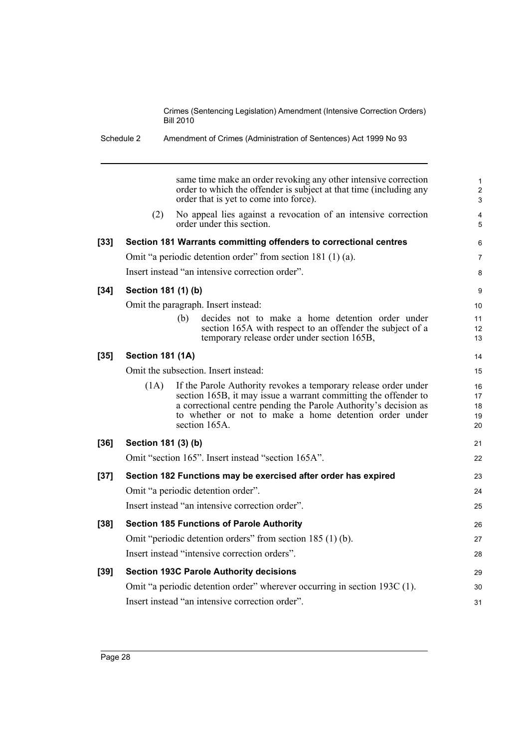|        |                         | same time make an order revoking any other intensive correction<br>order to which the offender is subject at that time (including any<br>order that is yet to come into force).                                                                                                   |
|--------|-------------------------|-----------------------------------------------------------------------------------------------------------------------------------------------------------------------------------------------------------------------------------------------------------------------------------|
|        | (2)                     | No appeal lies against a revocation of an intensive correction<br>order under this section.                                                                                                                                                                                       |
| $[33]$ |                         | Section 181 Warrants committing offenders to correctional centres                                                                                                                                                                                                                 |
|        |                         | Omit "a periodic detention order" from section 181 (1) (a).                                                                                                                                                                                                                       |
|        |                         | Insert instead "an intensive correction order".                                                                                                                                                                                                                                   |
| $[34]$ | Section 181 (1) (b)     |                                                                                                                                                                                                                                                                                   |
|        |                         | Omit the paragraph. Insert instead:                                                                                                                                                                                                                                               |
|        |                         | (b)<br>decides not to make a home detention order under<br>section 165A with respect to an offender the subject of a<br>temporary release order under section 165B,                                                                                                               |
| $[35]$ | <b>Section 181 (1A)</b> |                                                                                                                                                                                                                                                                                   |
|        |                         | Omit the subsection. Insert instead:                                                                                                                                                                                                                                              |
|        | (1A)                    | If the Parole Authority revokes a temporary release order under<br>section 165B, it may issue a warrant committing the offender to<br>a correctional centre pending the Parole Authority's decision as<br>to whether or not to make a home detention order under<br>section 165A. |
| $[36]$ | Section 181 (3) (b)     |                                                                                                                                                                                                                                                                                   |
|        |                         | Omit "section 165". Insert instead "section 165A".                                                                                                                                                                                                                                |
| $[37]$ |                         | Section 182 Functions may be exercised after order has expired                                                                                                                                                                                                                    |
|        |                         | Omit "a periodic detention order".                                                                                                                                                                                                                                                |
|        |                         | Insert instead "an intensive correction order".                                                                                                                                                                                                                                   |
| $[38]$ |                         | <b>Section 185 Functions of Parole Authority</b>                                                                                                                                                                                                                                  |
|        |                         | Omit "periodic detention orders" from section 185 (1) (b).                                                                                                                                                                                                                        |
|        |                         | Insert instead "intensive correction orders".                                                                                                                                                                                                                                     |
| $[39]$ |                         | <b>Section 193C Parole Authority decisions</b>                                                                                                                                                                                                                                    |
|        |                         | Omit "a periodic detention order" wherever occurring in section 193C (1).                                                                                                                                                                                                         |
|        |                         | Insert instead "an intensive correction order".                                                                                                                                                                                                                                   |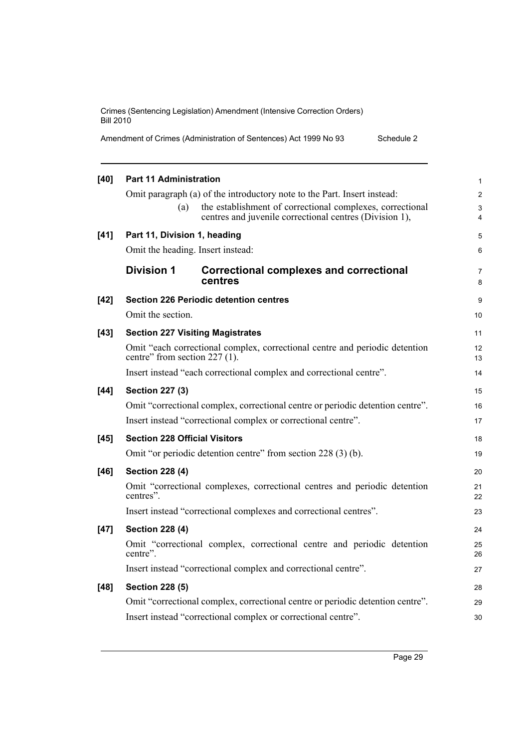| Amendment of Crimes (Administration of Sentences) Act 1999 No 93<br>Schedule 2 |  |
|--------------------------------------------------------------------------------|--|
|--------------------------------------------------------------------------------|--|

| $[40]$ | <b>Part 11 Administration</b>        |                                                                                | $\mathbf{1}$        |
|--------|--------------------------------------|--------------------------------------------------------------------------------|---------------------|
|        |                                      | Omit paragraph (a) of the introductory note to the Part. Insert instead:       | 2                   |
|        | (a)                                  | the establishment of correctional complexes, correctional                      | 3                   |
|        |                                      | centres and juvenile correctional centres (Division 1),                        | $\overline{4}$      |
| $[41]$ | Part 11, Division 1, heading         |                                                                                | 5                   |
|        | Omit the heading. Insert instead:    |                                                                                | 6                   |
|        | <b>Division 1</b>                    | <b>Correctional complexes and correctional</b><br>centres                      | $\overline{7}$<br>8 |
| $[42]$ |                                      | <b>Section 226 Periodic detention centres</b>                                  | 9                   |
|        | Omit the section.                    |                                                                                | 10                  |
| $[43]$ |                                      | <b>Section 227 Visiting Magistrates</b>                                        | 11                  |
|        | centre" from section 227 (1).        | Omit "each correctional complex, correctional centre and periodic detention    | 12<br>13            |
|        |                                      | Insert instead "each correctional complex and correctional centre".            | 14                  |
| $[44]$ | <b>Section 227 (3)</b>               |                                                                                | 15                  |
|        |                                      | Omit "correctional complex, correctional centre or periodic detention centre". | 16                  |
|        |                                      | Insert instead "correctional complex or correctional centre".                  | 17                  |
| $[45]$ | <b>Section 228 Official Visitors</b> |                                                                                | 18                  |
|        |                                      | Omit "or periodic detention centre" from section 228 (3) (b).                  | 19                  |
| [46]   | <b>Section 228 (4)</b>               |                                                                                | 20                  |
|        | centres".                            | Omit "correctional complexes, correctional centres and periodic detention      | 21<br>22            |
|        |                                      | Insert instead "correctional complexes and correctional centres".              | 23                  |
| $[47]$ | <b>Section 228 (4)</b>               |                                                                                | 24                  |
|        | centre".                             | Omit "correctional complex, correctional centre and periodic detention         | 25<br>26            |
|        |                                      | Insert instead "correctional complex and correctional centre".                 | 27                  |
| $[48]$ | <b>Section 228 (5)</b>               |                                                                                | 28                  |
|        |                                      | Omit "correctional complex, correctional centre or periodic detention centre". | 29                  |
|        |                                      | Insert instead "correctional complex or correctional centre".                  | 30                  |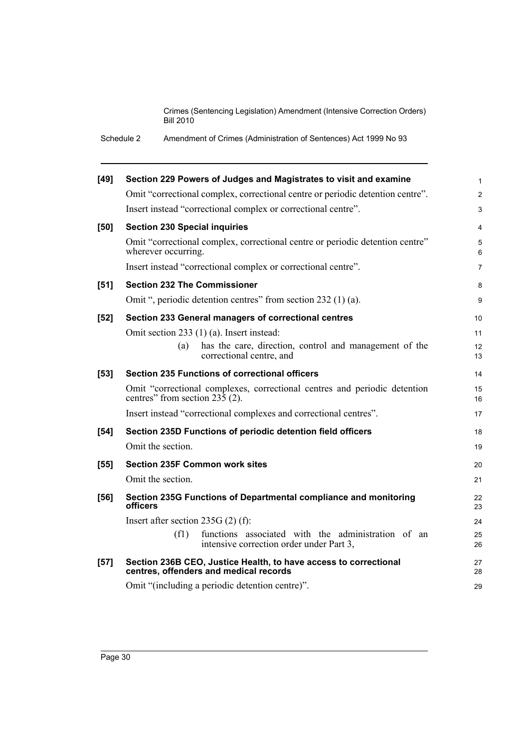Schedule 2 Amendment of Crimes (Administration of Sentences) Act 1999 No 93

| $[49]$ | Section 229 Powers of Judges and Magistrates to visit and examine                                                        | $\mathbf{1}$   |
|--------|--------------------------------------------------------------------------------------------------------------------------|----------------|
|        | Omit "correctional complex, correctional centre or periodic detention centre".                                           | $\overline{2}$ |
|        | Insert instead "correctional complex or correctional centre".                                                            | $\mathfrak{S}$ |
| [50]   | <b>Section 230 Special inquiries</b>                                                                                     | $\overline{4}$ |
|        | Omit "correctional complex, correctional centre or periodic detention centre"<br>wherever occurring.                     | 5<br>6         |
|        | Insert instead "correctional complex or correctional centre".                                                            | $\overline{7}$ |
| [51]   | <b>Section 232 The Commissioner</b>                                                                                      | 8              |
|        | Omit ", periodic detention centres" from section 232 (1) (a).                                                            | 9              |
| $[52]$ | Section 233 General managers of correctional centres                                                                     | 10             |
|        | Omit section 233 (1) (a). Insert instead:                                                                                | 11             |
|        | has the care, direction, control and management of the<br>(a)<br>correctional centre, and                                | 12<br>13       |
| $[53]$ | <b>Section 235 Functions of correctional officers</b>                                                                    | 14             |
|        | Omit "correctional complexes, correctional centres and periodic detention<br>centres" from section $23\overline{5}$ (2). | 15<br>16       |
|        | Insert instead "correctional complexes and correctional centres".                                                        | 17             |
| $[54]$ | Section 235D Functions of periodic detention field officers                                                              | 18             |
|        | Omit the section.                                                                                                        | 19             |
| $[55]$ | <b>Section 235F Common work sites</b>                                                                                    | 20             |
|        | Omit the section.                                                                                                        | 21             |
| [56]   | Section 235G Functions of Departmental compliance and monitoring<br>officers                                             | 22<br>23       |
|        | Insert after section $235G(2)$ (f):                                                                                      | 24             |
|        | functions associated with the administration of an<br>(f1)<br>intensive correction order under Part 3,                   | 25<br>26       |
| $[57]$ | Section 236B CEO, Justice Health, to have access to correctional<br>centres, offenders and medical records               | 27<br>28       |
|        | Omit "(including a periodic detention centre)".                                                                          | 29             |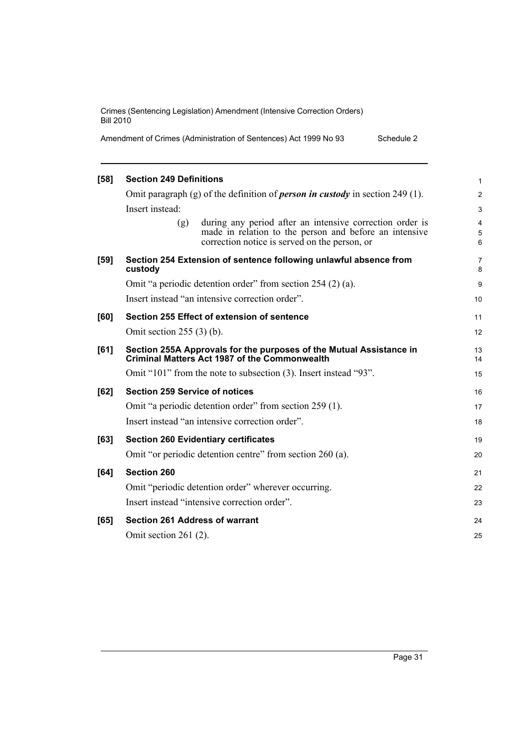| Amendment of Crimes (Administration of Sentences) Act 1999 No 93 | Schedule 2 |
|------------------------------------------------------------------|------------|
|------------------------------------------------------------------|------------|

| [58]   | <b>Section 249 Definitions</b>                                                                                                                                             | 1              |
|--------|----------------------------------------------------------------------------------------------------------------------------------------------------------------------------|----------------|
|        | Omit paragraph (g) of the definition of <i>person in custody</i> in section 249 (1).                                                                                       | $\overline{c}$ |
|        | Insert instead:                                                                                                                                                            | 3              |
|        | during any period after an intensive correction order is<br>(g)<br>made in relation to the person and before an intensive<br>correction notice is served on the person, or | 4<br>5<br>6    |
| $[59]$ | Section 254 Extension of sentence following unlawful absence from<br>custody                                                                                               | 7<br>8         |
|        | Omit "a periodic detention order" from section 254 (2) (a).                                                                                                                | 9              |
|        | Insert instead "an intensive correction order".                                                                                                                            | 10             |
| [60]   | Section 255 Effect of extension of sentence                                                                                                                                | 11             |
|        | Omit section $255(3)$ (b).                                                                                                                                                 | 12             |
| [61]   | Section 255A Approvals for the purposes of the Mutual Assistance in<br><b>Criminal Matters Act 1987 of the Commonwealth</b>                                                | 13<br>14       |
|        | Omit "101" from the note to subsection (3). Insert instead "93".                                                                                                           | 15             |
| [62]   | <b>Section 259 Service of notices</b>                                                                                                                                      | 16             |
|        | Omit "a periodic detention order" from section 259 (1).                                                                                                                    | 17             |
|        | Insert instead "an intensive correction order".                                                                                                                            | 18             |
| [63]   | <b>Section 260 Evidentiary certificates</b>                                                                                                                                | 19             |
|        | Omit "or periodic detention centre" from section 260 (a).                                                                                                                  | 20             |
| [64]   | <b>Section 260</b>                                                                                                                                                         | 21             |
|        | Omit "periodic detention order" wherever occurring.                                                                                                                        | 22             |
|        | Insert instead "intensive correction order".                                                                                                                               | 23             |
| [65]   | <b>Section 261 Address of warrant</b>                                                                                                                                      | 24             |
|        | Omit section $261(2)$ .                                                                                                                                                    | 25             |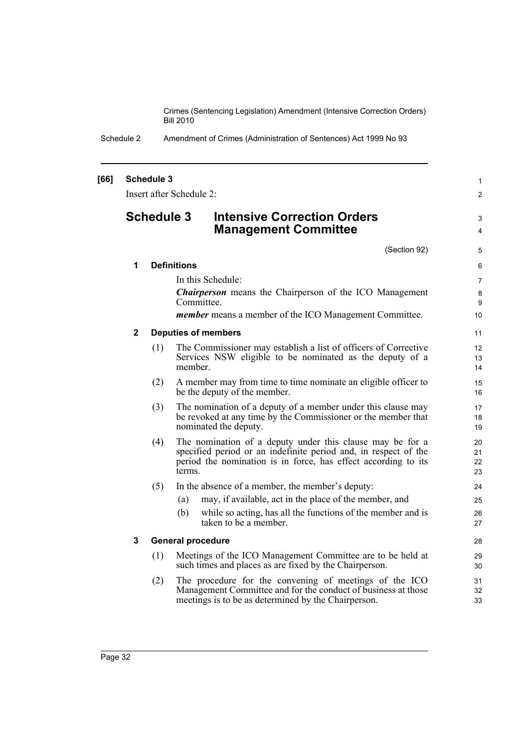Schedule 2 Amendment of Crimes (Administration of Sentences) Act 1999 No 93

#### **[66] Schedule 3** Insert after Schedule 2: **Schedule 3 Intensive Correction Orders Management Committee** (Section 92) **1 Definitions** In this Schedule: *Chairperson* means the Chairperson of the ICO Management Committee. *member* means a member of the ICO Management Committee. **2 Deputies of members** (1) The Commissioner may establish a list of officers of Corrective Services NSW eligible to be nominated as the deputy of a member. (2) A member may from time to time nominate an eligible officer to be the deputy of the member. (3) The nomination of a deputy of a member under this clause may be revoked at any time by the Commissioner or the member that nominated the deputy. (4) The nomination of a deputy under this clause may be for a specified period or an indefinite period and, in respect of the period the nomination is in force, has effect according to its terms. (5) In the absence of a member, the member's deputy: (a) may, if available, act in the place of the member, and (b) while so acting, has all the functions of the member and is taken to be a member. **3 General procedure** (1) Meetings of the ICO Management Committee are to be held at such times and places as are fixed by the Chairperson. (2) The procedure for the convening of meetings of the ICO Management Committee and for the conduct of business at those meetings is to be as determined by the Chairperson. 1  $\mathfrak{p}$ 3 4 5 6 7 8 9  $10$ 11 12 13 14 15 16 17 18 19 20 21 22 23 24 25 26 27 28 29 30 31 32 33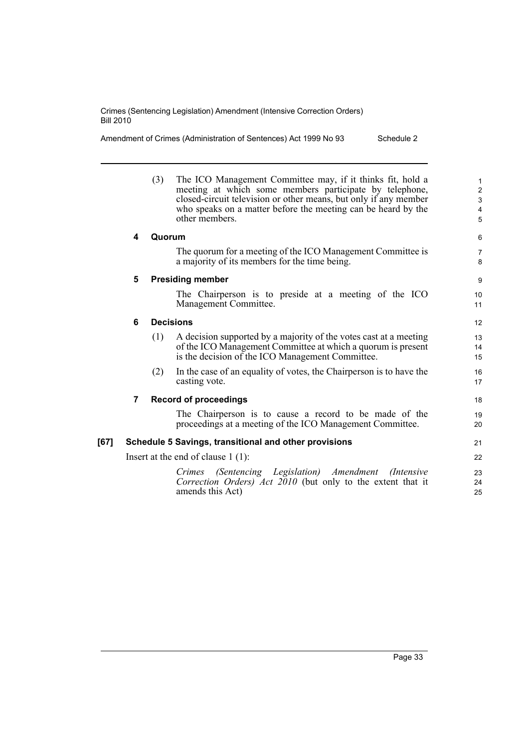| Amendment of Crimes (Administration of Sentences) Act 1999 No 93<br>Schedule 2 |  |
|--------------------------------------------------------------------------------|--|
|--------------------------------------------------------------------------------|--|

|      |   | (3)    | The ICO Management Committee may, if it thinks fit, hold a<br>meeting at which some members participate by telephone,<br>closed-circuit television or other means, but only if any member<br>who speaks on a matter before the meeting can be heard by the<br>other members. | $\mathbf{1}$<br>$\overline{2}$<br>3<br>4<br>5 |
|------|---|--------|------------------------------------------------------------------------------------------------------------------------------------------------------------------------------------------------------------------------------------------------------------------------------|-----------------------------------------------|
|      | 4 | Quorum |                                                                                                                                                                                                                                                                              | 6                                             |
|      |   |        | The quorum for a meeting of the ICO Management Committee is<br>a majority of its members for the time being.                                                                                                                                                                 | $\overline{7}$<br>8                           |
|      | 5 |        | <b>Presiding member</b>                                                                                                                                                                                                                                                      | 9                                             |
|      |   |        | The Chairperson is to preside at a meeting of the ICO<br>Management Committee.                                                                                                                                                                                               | 10 <sup>°</sup><br>11                         |
|      | 6 |        | <b>Decisions</b>                                                                                                                                                                                                                                                             | 12                                            |
|      |   | (1)    | A decision supported by a majority of the votes cast at a meeting<br>of the ICO Management Committee at which a quorum is present<br>is the decision of the ICO Management Committee.                                                                                        | 13<br>14<br>15                                |
|      |   | (2)    | In the case of an equality of votes, the Chairperson is to have the<br>casting vote.                                                                                                                                                                                         | 16<br>17                                      |
|      | 7 |        | <b>Record of proceedings</b>                                                                                                                                                                                                                                                 | 18                                            |
|      |   |        | The Chairperson is to cause a record to be made of the<br>proceedings at a meeting of the ICO Management Committee.                                                                                                                                                          | 19<br>20                                      |
| [67] |   |        | Schedule 5 Savings, transitional and other provisions                                                                                                                                                                                                                        | 21                                            |
|      |   |        | Insert at the end of clause $1(1)$ :                                                                                                                                                                                                                                         | 22                                            |
|      |   |        | (Sentencing Legislation) Amendment<br><i>Crimes</i><br>( <i>Intensive</i> )<br>Correction Orders) Act 2010 (but only to the extent that it<br>amends this Act)                                                                                                               | 23<br>24<br>25                                |
|      |   |        |                                                                                                                                                                                                                                                                              |                                               |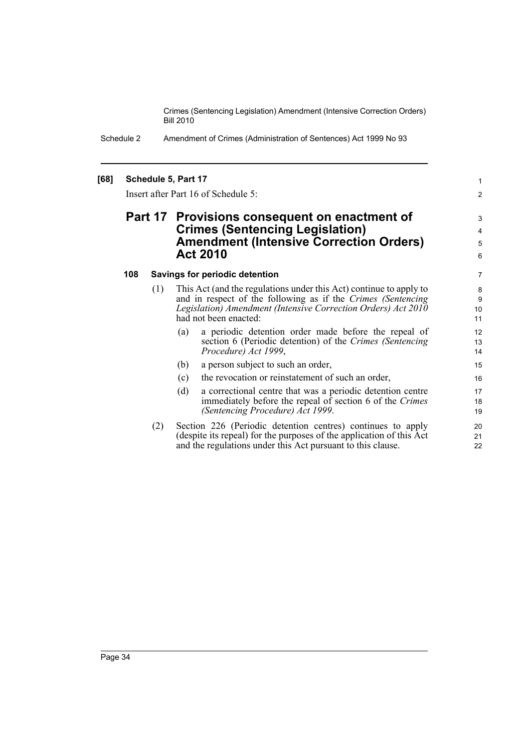> 1 2

Schedule 2 Amendment of Crimes (Administration of Sentences) Act 1999 No 93

#### **[68] Schedule 5, Part 17**

Insert after Part 16 of Schedule 5:

# **Part 17 Provisions consequent on enactment of Crimes (Sentencing Legislation) Amendment (Intensive Correction Orders) Act 2010**

#### **108 Savings for periodic detention**

- (1) This Act (and the regulations under this Act) continue to apply to and in respect of the following as if the *Crimes (Sentencing Legislation) Amendment (Intensive Correction Orders) Act 2010* had not been enacted:
	- (a) a periodic detention order made before the repeal of section 6 (Periodic detention) of the *Crimes (Sentencing Procedure) Act 1999*,
	- (b) a person subject to such an order,
	- (c) the revocation or reinstatement of such an order,
	- (d) a correctional centre that was a periodic detention centre immediately before the repeal of section 6 of the *Crimes (Sentencing Procedure) Act 1999*.
- (2) Section 226 (Periodic detention centres) continues to apply (despite its repeal) for the purposes of the application of this Act and the regulations under this Act pursuant to this clause.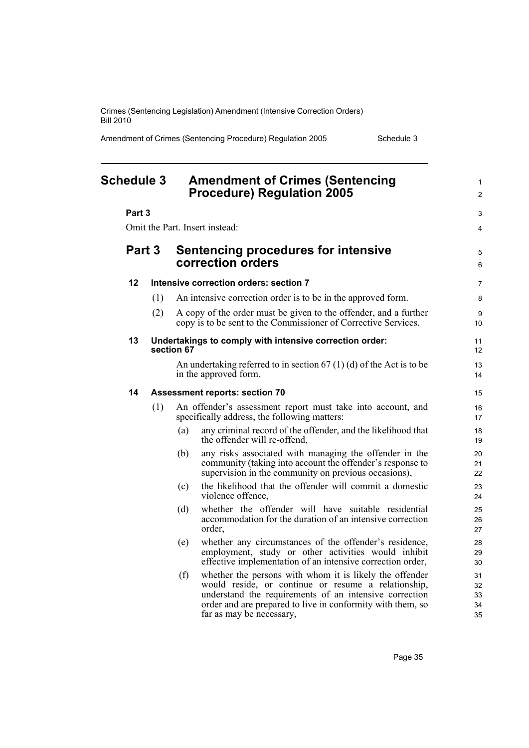Amendment of Crimes (Sentencing Procedure) Regulation 2005 Schedule 3

<span id="page-44-0"></span>

| <b>Schedule 3</b> |        |     | <b>Amendment of Crimes (Sentencing</b><br><b>Procedure) Regulation 2005</b> |                                                                                                                                                                                                                                                                    | $\mathbf{1}$<br>$\overline{2}$ |  |  |
|-------------------|--------|-----|-----------------------------------------------------------------------------|--------------------------------------------------------------------------------------------------------------------------------------------------------------------------------------------------------------------------------------------------------------------|--------------------------------|--|--|
|                   | Part 3 |     |                                                                             |                                                                                                                                                                                                                                                                    |                                |  |  |
|                   |        |     |                                                                             | Omit the Part. Insert instead:                                                                                                                                                                                                                                     | 4                              |  |  |
|                   | Part 3 |     |                                                                             | <b>Sentencing procedures for intensive</b><br>correction orders                                                                                                                                                                                                    |                                |  |  |
|                   | 12     |     |                                                                             | Intensive correction orders: section 7                                                                                                                                                                                                                             | $\overline{7}$                 |  |  |
|                   |        | (1) |                                                                             | An intensive correction order is to be in the approved form.                                                                                                                                                                                                       | 8                              |  |  |
|                   |        | (2) |                                                                             | A copy of the order must be given to the offender, and a further<br>copy is to be sent to the Commissioner of Corrective Services.                                                                                                                                 | 9<br>10                        |  |  |
|                   | 13     |     | section 67                                                                  | Undertakings to comply with intensive correction order:                                                                                                                                                                                                            | 11<br>12                       |  |  |
|                   |        |     |                                                                             | An undertaking referred to in section $67(1)(d)$ of the Act is to be<br>in the approved form.                                                                                                                                                                      | 13<br>14                       |  |  |
|                   | 14     |     |                                                                             | <b>Assessment reports: section 70</b>                                                                                                                                                                                                                              | 15                             |  |  |
|                   |        | (1) |                                                                             | An offender's assessment report must take into account, and<br>specifically address, the following matters:                                                                                                                                                        | 16<br>17                       |  |  |
|                   |        |     | (a)                                                                         | any criminal record of the offender, and the likelihood that<br>the offender will re-offend,                                                                                                                                                                       | 18<br>19                       |  |  |
|                   |        |     | (b)                                                                         | any risks associated with managing the offender in the<br>community (taking into account the offender's response to<br>supervision in the community on previous occasions),                                                                                        | 20<br>21<br>22                 |  |  |
|                   |        |     | (c)                                                                         | the likelihood that the offender will commit a domestic<br>violence offence,                                                                                                                                                                                       | 23<br>24                       |  |  |
|                   |        |     | (d)                                                                         | whether the offender will have suitable residential<br>accommodation for the duration of an intensive correction<br>order,                                                                                                                                         | 25<br>26<br>27                 |  |  |
|                   |        |     | (e)                                                                         | whether any circumstances of the offender's residence,<br>employment, study or other activities would inhibit<br>effective implementation of an intensive correction order,                                                                                        | 28<br>29<br>30                 |  |  |
|                   |        |     | (f)                                                                         | whether the persons with whom it is likely the offender<br>would reside, or continue or resume a relationship,<br>understand the requirements of an intensive correction<br>order and are prepared to live in conformity with them, so<br>far as may be necessary, | 31<br>32<br>33<br>34<br>35     |  |  |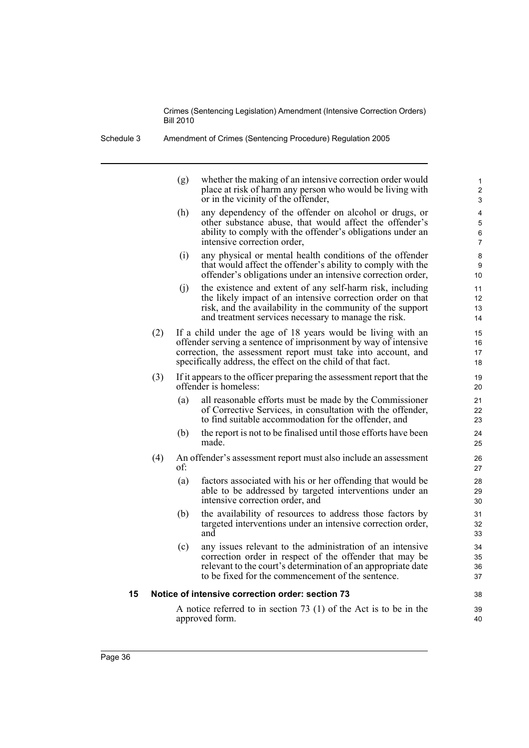Schedule 3 Amendment of Crimes (Sentencing Procedure) Regulation 2005

|    |     | (g) | whether the making of an intensive correction order would<br>place at risk of harm any person who would be living with<br>or in the vicinity of the offender,                                                                                                   | $\mathbf{1}$<br>2<br>3 |
|----|-----|-----|-----------------------------------------------------------------------------------------------------------------------------------------------------------------------------------------------------------------------------------------------------------------|------------------------|
|    |     | (h) | any dependency of the offender on alcohol or drugs, or<br>other substance abuse, that would affect the offender's<br>ability to comply with the offender's obligations under an<br>intensive correction order,                                                  | 4<br>5<br>6<br>7       |
|    |     | (i) | any physical or mental health conditions of the offender<br>that would affect the offender's ability to comply with the<br>offender's obligations under an intensive correction order,                                                                          | $\bf 8$<br>9<br>10     |
|    |     | (j) | the existence and extent of any self-harm risk, including<br>the likely impact of an intensive correction order on that<br>risk, and the availability in the community of the support<br>and treatment services necessary to manage the risk.                   | 11<br>12<br>13<br>14   |
|    | (2) |     | If a child under the age of 18 years would be living with an<br>offender serving a sentence of imprisonment by way of intensive<br>correction, the assessment report must take into account, and<br>specifically address, the effect on the child of that fact. | 15<br>16<br>17<br>18   |
|    | (3) |     | If it appears to the officer preparing the assessment report that the<br>offender is homeless:                                                                                                                                                                  | 19<br>20               |
|    |     | (a) | all reasonable efforts must be made by the Commissioner<br>of Corrective Services, in consultation with the offender,<br>to find suitable accommodation for the offender, and                                                                                   | 21<br>22<br>23         |
|    |     | (b) | the report is not to be finalised until those efforts have been<br>made.                                                                                                                                                                                        | 24<br>25               |
|    | (4) | of: | An offender's assessment report must also include an assessment                                                                                                                                                                                                 | 26<br>27               |
|    |     | (a) | factors associated with his or her offending that would be<br>able to be addressed by targeted interventions under an<br>intensive correction order, and                                                                                                        | 28<br>29<br>30         |
|    |     | (b) | the availability of resources to address those factors by<br>targeted interventions under an intensive correction order,<br>and                                                                                                                                 | 31<br>32<br>33         |
|    |     | (c) | any issues relevant to the administration of an intensive<br>correction order in respect of the offender that may be<br>relevant to the court's determination of an appropriate date<br>to be fixed for the commencement of the sentence.                       | 34<br>35<br>36<br>37   |
| 15 |     |     | Notice of intensive correction order: section 73                                                                                                                                                                                                                | 38                     |
|    |     |     | A notice referred to in section $73$ (1) of the Act is to be in the<br>approved form.                                                                                                                                                                           | 39<br>40               |
|    |     |     |                                                                                                                                                                                                                                                                 |                        |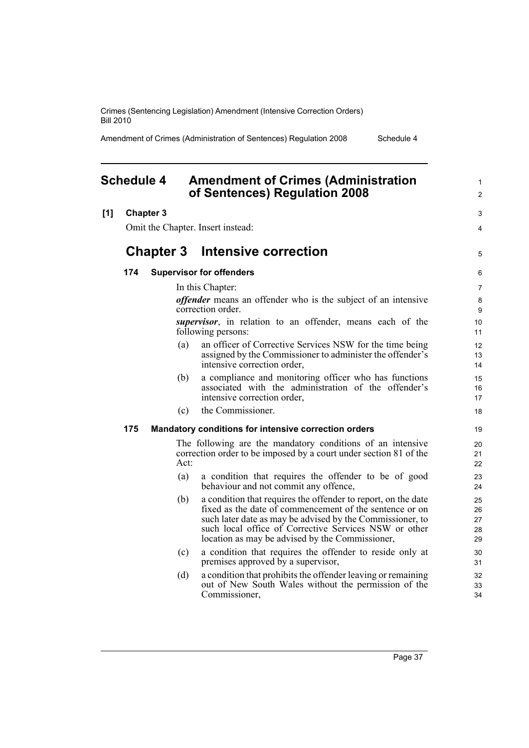Amendment of Crimes (Administration of Sentences) Regulation 2008 Schedule 4

<span id="page-46-0"></span>

|     | <b>Schedule 4</b> |                  |      | <b>Amendment of Crimes (Administration</b><br>of Sentences) Regulation 2008                                                                                                                                                                                                                       | 1<br>$\overline{c}$        |
|-----|-------------------|------------------|------|---------------------------------------------------------------------------------------------------------------------------------------------------------------------------------------------------------------------------------------------------------------------------------------------------|----------------------------|
| [1] | <b>Chapter 3</b>  |                  |      |                                                                                                                                                                                                                                                                                                   | 3                          |
|     |                   |                  |      | Omit the Chapter. Insert instead:                                                                                                                                                                                                                                                                 | 4                          |
|     |                   | <b>Chapter 3</b> |      | Intensive correction                                                                                                                                                                                                                                                                              | 5                          |
|     | 174               |                  |      | <b>Supervisor for offenders</b>                                                                                                                                                                                                                                                                   | 6                          |
|     |                   |                  |      | In this Chapter:                                                                                                                                                                                                                                                                                  | 7                          |
|     |                   |                  |      | <i>offender</i> means an offender who is the subject of an intensive<br>correction order.                                                                                                                                                                                                         | 8<br>9                     |
|     |                   |                  |      | <i>supervisor</i> , in relation to an offender, means each of the<br>following persons:                                                                                                                                                                                                           | 10<br>11                   |
|     |                   |                  | (a)  | an officer of Corrective Services NSW for the time being<br>assigned by the Commissioner to administer the offender's<br>intensive correction order,                                                                                                                                              | 12<br>13<br>14             |
|     |                   |                  | (b)  | a compliance and monitoring officer who has functions<br>associated with the administration of the offender's<br>intensive correction order,                                                                                                                                                      | 15<br>16<br>17             |
|     |                   |                  | (c)  | the Commissioner.                                                                                                                                                                                                                                                                                 | 18                         |
|     | 175               |                  |      | Mandatory conditions for intensive correction orders                                                                                                                                                                                                                                              | 19                         |
|     |                   |                  | Act: | The following are the mandatory conditions of an intensive<br>correction order to be imposed by a court under section 81 of the                                                                                                                                                                   | 20<br>21<br>22             |
|     |                   |                  | (a)  | a condition that requires the offender to be of good<br>behaviour and not commit any offence,                                                                                                                                                                                                     | 23<br>24                   |
|     |                   |                  | (b)  | a condition that requires the offender to report, on the date<br>fixed as the date of commencement of the sentence or on<br>such later date as may be advised by the Commissioner, to<br>such local office of Corrective Services NSW or other<br>location as may be advised by the Commissioner, | 25<br>26<br>27<br>28<br>29 |
|     |                   |                  | (c)  | a condition that requires the offender to reside only at<br>premises approved by a supervisor,                                                                                                                                                                                                    | 30<br>31                   |
|     |                   |                  | (d)  | a condition that prohibits the offender leaving or remaining<br>out of New South Wales without the permission of the<br>Commissioner,                                                                                                                                                             | 32<br>33<br>34             |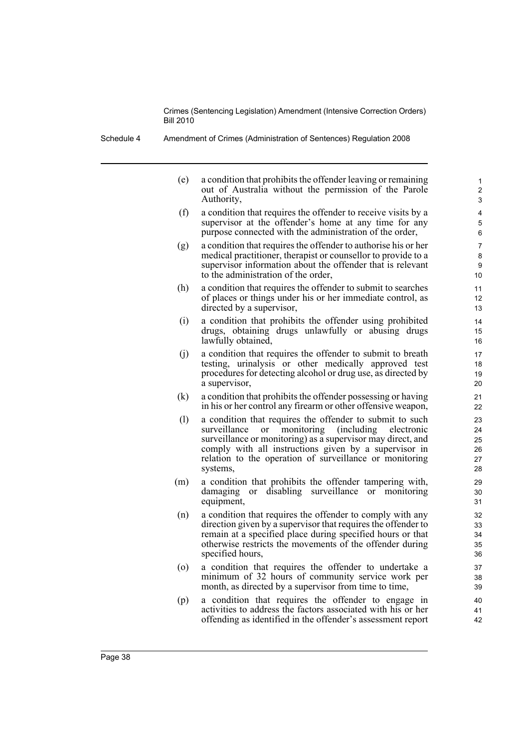Schedule 4 Amendment of Crimes (Administration of Sentences) Regulation 2008

(e) a condition that prohibits the offender leaving or remaining out of Australia without the permission of the Parole Authority,

- (f) a condition that requires the offender to receive visits by a supervisor at the offender's home at any time for any purpose connected with the administration of the order,
- (g) a condition that requires the offender to authorise his or her medical practitioner, therapist or counsellor to provide to a supervisor information about the offender that is relevant to the administration of the order,
- (h) a condition that requires the offender to submit to searches of places or things under his or her immediate control, as directed by a supervisor,
- (i) a condition that prohibits the offender using prohibited drugs, obtaining drugs unlawfully or abusing drugs lawfully obtained,
- (j) a condition that requires the offender to submit to breath testing, urinalysis or other medically approved test procedures for detecting alcohol or drug use, as directed by a supervisor,
- (k) a condition that prohibits the offender possessing or having in his or her control any firearm or other offensive weapon,
- (l) a condition that requires the offender to submit to such surveillance or monitoring (including electronic surveillance or monitoring) as a supervisor may direct, and comply with all instructions given by a supervisor in relation to the operation of surveillance or monitoring systems,
- (m) a condition that prohibits the offender tampering with, damaging or disabling surveillance or monitoring equipment,
- (n) a condition that requires the offender to comply with any direction given by a supervisor that requires the offender to remain at a specified place during specified hours or that otherwise restricts the movements of the offender during specified hours,
- (o) a condition that requires the offender to undertake a minimum of 32 hours of community service work per month, as directed by a supervisor from time to time,
- (p) a condition that requires the offender to engage in activities to address the factors associated with his or her offending as identified in the offender's assessment report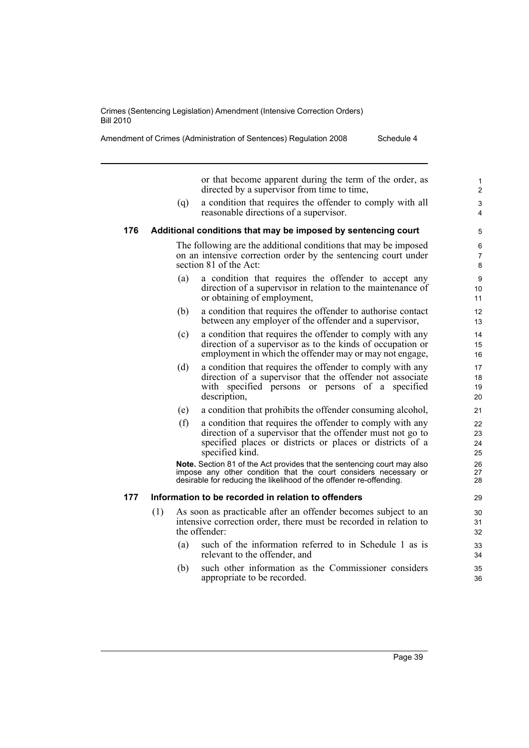or that become apparent during the term of the order, as directed by a supervisor from time to time,

(q) a condition that requires the offender to comply with all reasonable directions of a supervisor.

#### **176 Additional conditions that may be imposed by sentencing court**

The following are the additional conditions that may be imposed on an intensive correction order by the sentencing court under section 81 of the Act:

- (a) a condition that requires the offender to accept any direction of a supervisor in relation to the maintenance of or obtaining of employment,
- (b) a condition that requires the offender to authorise contact between any employer of the offender and a supervisor,
- (c) a condition that requires the offender to comply with any direction of a supervisor as to the kinds of occupation or employment in which the offender may or may not engage,
- (d) a condition that requires the offender to comply with any direction of a supervisor that the offender not associate with specified persons or persons of a specified description,
- (e) a condition that prohibits the offender consuming alcohol,
- (f) a condition that requires the offender to comply with any direction of a supervisor that the offender must not go to specified places or districts or places or districts of a specified kind.

**Note.** Section 81 of the Act provides that the sentencing court may also impose any other condition that the court considers necessary or desirable for reducing the likelihood of the offender re-offending.

#### **177 Information to be recorded in relation to offenders**

- (1) As soon as practicable after an offender becomes subject to an intensive correction order, there must be recorded in relation to the offender:
	- (a) such of the information referred to in Schedule 1 as is relevant to the offender, and
	- (b) such other information as the Commissioner considers appropriate to be recorded.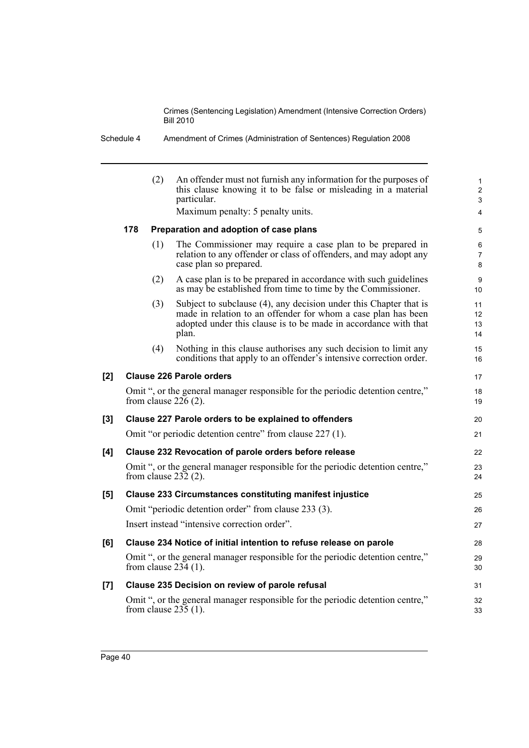Schedule 4 Amendment of Crimes (Administration of Sentences) Regulation 2008

|     |     | (2) | An offender must not furnish any information for the purposes of<br>this clause knowing it to be false or misleading in a material<br>particular.<br>Maximum penalty: 5 penalty units.                         | $\mathbf{1}$<br>$\overline{c}$<br>3<br>$\overline{4}$ |
|-----|-----|-----|----------------------------------------------------------------------------------------------------------------------------------------------------------------------------------------------------------------|-------------------------------------------------------|
|     | 178 |     | Preparation and adoption of case plans                                                                                                                                                                         | 5                                                     |
|     |     | (1) | The Commissioner may require a case plan to be prepared in<br>relation to any offender or class of offenders, and may adopt any<br>case plan so prepared.                                                      | 6<br>$\overline{7}$<br>8                              |
|     |     | (2) | A case plan is to be prepared in accordance with such guidelines<br>as may be established from time to time by the Commissioner.                                                                               | 9<br>10                                               |
|     |     | (3) | Subject to subclause (4), any decision under this Chapter that is<br>made in relation to an offender for whom a case plan has been<br>adopted under this clause is to be made in accordance with that<br>plan. | 11<br>12<br>13<br>14                                  |
|     |     | (4) | Nothing in this clause authorises any such decision to limit any<br>conditions that apply to an offender's intensive correction order.                                                                         | 15<br>16                                              |
| [2] |     |     | <b>Clause 226 Parole orders</b>                                                                                                                                                                                | 17                                                    |
|     |     |     | Omit ", or the general manager responsible for the periodic detention centre,"<br>from clause $226(2)$ .                                                                                                       | 18<br>19                                              |
| [3] |     |     | Clause 227 Parole orders to be explained to offenders                                                                                                                                                          | 20                                                    |
|     |     |     | Omit "or periodic detention centre" from clause 227 (1).                                                                                                                                                       | 21                                                    |
| [4] |     |     | Clause 232 Revocation of parole orders before release                                                                                                                                                          | 22                                                    |
|     |     |     | Omit ", or the general manager responsible for the periodic detention centre,"<br>from clause $232(2)$ .                                                                                                       | 23<br>24                                              |
| [5] |     |     | <b>Clause 233 Circumstances constituting manifest injustice</b>                                                                                                                                                | 25                                                    |
|     |     |     | Omit "periodic detention order" from clause 233 (3).                                                                                                                                                           | 26                                                    |
|     |     |     | Insert instead "intensive correction order".                                                                                                                                                                   | 27                                                    |
| [6] |     |     | Clause 234 Notice of initial intention to refuse release on parole                                                                                                                                             | 28                                                    |
|     |     |     | Omit ", or the general manager responsible for the periodic detention centre,"<br>from clause $234(1)$ .                                                                                                       | 29<br>30                                              |
| [7] |     |     | Clause 235 Decision on review of parole refusal                                                                                                                                                                | 31                                                    |
|     |     |     | Omit ", or the general manager responsible for the periodic detention centre,"<br>from clause $235(1)$ .                                                                                                       | 32<br>33                                              |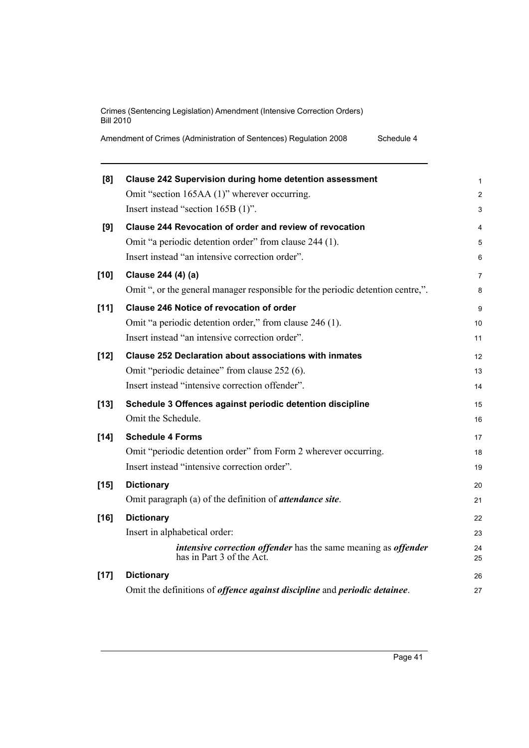Amendment of Crimes (Administration of Sentences) Regulation 2008 Schedule 4

| [8]    | <b>Clause 242 Supervision during home detention assessment</b>                              | $\mathbf{1}$   |
|--------|---------------------------------------------------------------------------------------------|----------------|
|        | Omit "section 165AA (1)" wherever occurring.                                                | $\overline{c}$ |
|        | Insert instead "section 165B (1)".                                                          | 3              |
| [9]    | Clause 244 Revocation of order and review of revocation                                     | 4              |
|        | Omit "a periodic detention order" from clause 244 (1).                                      | 5              |
|        | Insert instead "an intensive correction order".                                             | $\,6$          |
| $[10]$ | Clause 244 (4) (a)                                                                          | $\overline{7}$ |
|        | Omit ", or the general manager responsible for the periodic detention centre,".             | 8              |
| $[11]$ | <b>Clause 246 Notice of revocation of order</b>                                             | 9              |
|        | Omit "a periodic detention order," from clause 246 (1).                                     | 10             |
|        | Insert instead "an intensive correction order".                                             | 11             |
| $[12]$ | <b>Clause 252 Declaration about associations with inmates</b>                               | 12             |
|        | Omit "periodic detainee" from clause 252 (6).                                               | 13             |
|        | Insert instead "intensive correction offender".                                             | 14             |
| $[13]$ | Schedule 3 Offences against periodic detention discipline                                   | 15             |
|        | Omit the Schedule.                                                                          | 16             |
| $[14]$ | <b>Schedule 4 Forms</b>                                                                     | 17             |
|        | Omit "periodic detention order" from Form 2 wherever occurring.                             | 18             |
|        | Insert instead "intensive correction order".                                                | 19             |
| $[15]$ | <b>Dictionary</b>                                                                           | 20             |
|        | Omit paragraph (a) of the definition of <i>attendance site</i> .                            | 21             |
| $[16]$ | <b>Dictionary</b>                                                                           | 22             |
|        | Insert in alphabetical order:                                                               | 23             |
|        | intensive correction offender has the same meaning as offender<br>has in Part 3 of the Act. | 24<br>25       |
| $[17]$ | <b>Dictionary</b>                                                                           | 26             |
|        | Omit the definitions of <i>offence against discipline</i> and <i>periodic detainee</i> .    | 27             |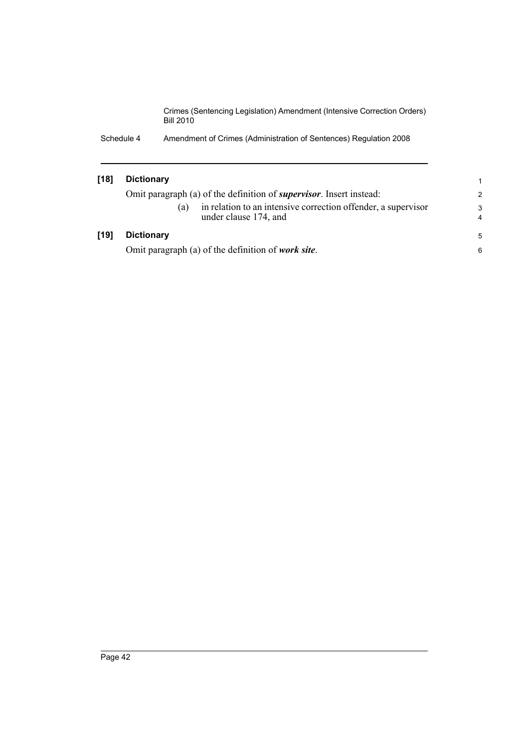Schedule 4 Amendment of Crimes (Administration of Sentences) Regulation 2008

| [18] | <b>Dictionary</b> |                                                                                        |                     |
|------|-------------------|----------------------------------------------------------------------------------------|---------------------|
|      |                   | Omit paragraph (a) of the definition of <i>supervisor</i> . Insert instead:            | 2                   |
|      | (a)               | in relation to an intensive correction offender, a supervisor<br>under clause 174, and | 3<br>$\overline{4}$ |
| [19] | <b>Dictionary</b> |                                                                                        | 5                   |
|      |                   | Omit paragraph (a) of the definition of <i>work site</i> .                             | 6                   |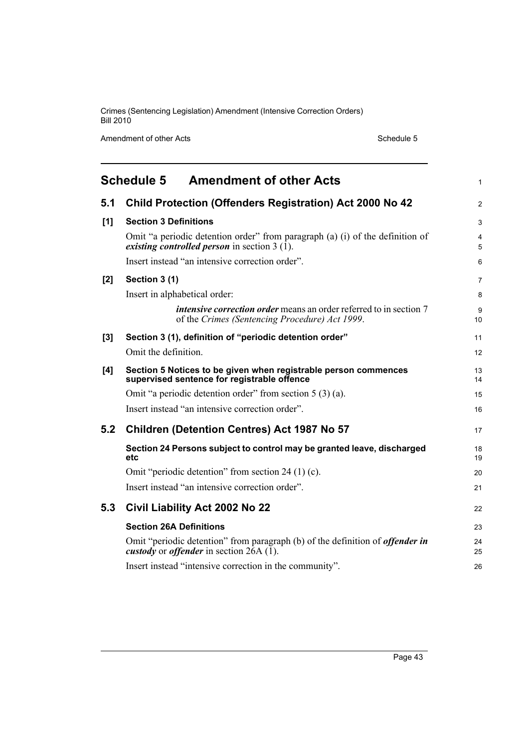Amendment of other Acts Schedule 5

<span id="page-52-0"></span>

|     | <b>Amendment of other Acts</b><br><b>Schedule 5</b>                                                                                                   | 1              |
|-----|-------------------------------------------------------------------------------------------------------------------------------------------------------|----------------|
| 5.1 | <b>Child Protection (Offenders Registration) Act 2000 No 42</b>                                                                                       | $\overline{2}$ |
| [1] | <b>Section 3 Definitions</b>                                                                                                                          | 3              |
|     | Omit "a periodic detention order" from paragraph (a) (i) of the definition of<br><i>existing controlled person</i> in section $3(1)$ .                | 4<br>5         |
|     | Insert instead "an intensive correction order".                                                                                                       | 6              |
| [2] | Section 3 (1)                                                                                                                                         | 7              |
|     | Insert in alphabetical order:                                                                                                                         | 8              |
|     | <i>intensive correction order</i> means an order referred to in section 7<br>of the Crimes (Sentencing Procedure) Act 1999.                           | 9<br>10        |
| [3] | Section 3 (1), definition of "periodic detention order"                                                                                               | 11             |
|     | Omit the definition.                                                                                                                                  | 12             |
| [4] | Section 5 Notices to be given when registrable person commences<br>supervised sentence for registrable offence                                        | 13<br>14       |
|     | Omit "a periodic detention order" from section 5 (3) (a).                                                                                             | 15             |
|     | Insert instead "an intensive correction order".                                                                                                       | 16             |
| 5.2 | <b>Children (Detention Centres) Act 1987 No 57</b>                                                                                                    | 17             |
|     | Section 24 Persons subject to control may be granted leave, discharged<br>etc                                                                         | 18<br>19       |
|     | Omit "periodic detention" from section 24 (1) (c).                                                                                                    | 20             |
|     | Insert instead "an intensive correction order".                                                                                                       | 21             |
| 5.3 | Civil Liability Act 2002 No 22                                                                                                                        | 22             |
|     | <b>Section 26A Definitions</b>                                                                                                                        | 23             |
|     | Omit "periodic detention" from paragraph (b) of the definition of <i>offender in</i><br><i>custody</i> or <i>offender</i> in section $2\hat{6}A(1)$ . | 24<br>25       |
|     | Insert instead "intensive correction in the community".                                                                                               | 26             |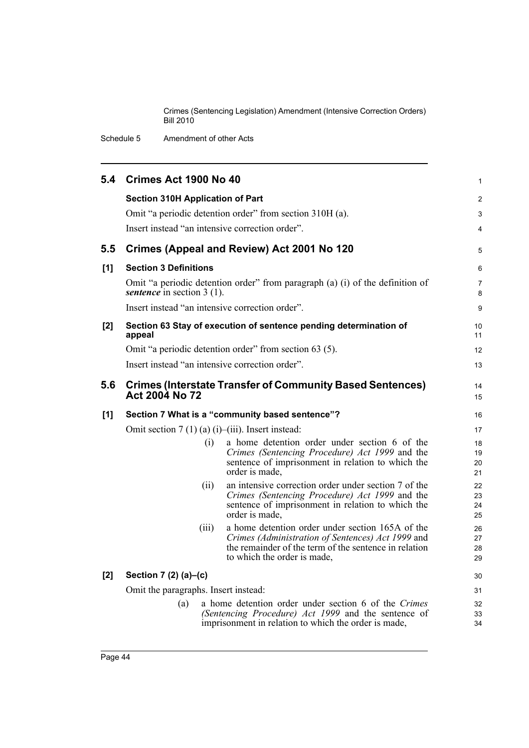Schedule 5 Amendment of other Acts

|     | 5.4 Crimes Act 1900 No 40               |       |                                                                                                                                                                                               | 1                        |
|-----|-----------------------------------------|-------|-----------------------------------------------------------------------------------------------------------------------------------------------------------------------------------------------|--------------------------|
|     | <b>Section 310H Application of Part</b> |       | Omit "a periodic detention order" from section 310H (a).<br>Insert instead "an intensive correction order".                                                                                   | $\overline{2}$<br>3<br>4 |
| 5.5 |                                         |       | Crimes (Appeal and Review) Act 2001 No 120                                                                                                                                                    | 5                        |
| [1] | <b>Section 3 Definitions</b>            |       |                                                                                                                                                                                               | 6                        |
|     | sentence in section $3(1)$ .            |       | Omit "a periodic detention order" from paragraph (a) (i) of the definition of                                                                                                                 | $\overline{7}$<br>8      |
|     |                                         |       | Insert instead "an intensive correction order".                                                                                                                                               | 9                        |
| [2] | appeal                                  |       | Section 63 Stay of execution of sentence pending determination of                                                                                                                             | 10<br>11                 |
|     |                                         |       | Omit "a periodic detention order" from section 63 (5).                                                                                                                                        | 12                       |
|     |                                         |       | Insert instead "an intensive correction order".                                                                                                                                               | 13                       |
| 5.6 | <b>Act 2004 No 72</b>                   |       | <b>Crimes (Interstate Transfer of Community Based Sentences)</b>                                                                                                                              | 14<br>15                 |
| [1] |                                         |       | Section 7 What is a "community based sentence"?                                                                                                                                               | 16                       |
|     |                                         |       | Omit section $7(1)(a)(i)$ -(iii). Insert instead:                                                                                                                                             | 17                       |
|     |                                         | (i)   | a home detention order under section 6 of the<br>Crimes (Sentencing Procedure) Act 1999 and the<br>sentence of imprisonment in relation to which the<br>order is made,                        | 18<br>19<br>20<br>21     |
|     |                                         | (ii)  | an intensive correction order under section 7 of the<br>Crimes (Sentencing Procedure) Act 1999 and the<br>sentence of imprisonment in relation to which the<br>order is made,                 | 22<br>23<br>24<br>25     |
|     |                                         | (iii) | a home detention order under section 165A of the<br>Crimes (Administration of Sentences) Act 1999 and<br>the remainder of the term of the sentence in relation<br>to which the order is made, | 26<br>27<br>28<br>29     |
| [2] | Section 7 (2) (a)-(c)                   |       |                                                                                                                                                                                               | 30                       |
|     | Omit the paragraphs. Insert instead:    |       |                                                                                                                                                                                               | 31                       |
|     | (a)                                     |       | a home detention order under section 6 of the Crimes<br>(Sentencing Procedure) Act 1999 and the sentence of<br>imprisonment in relation to which the order is made,                           | 32<br>33<br>34           |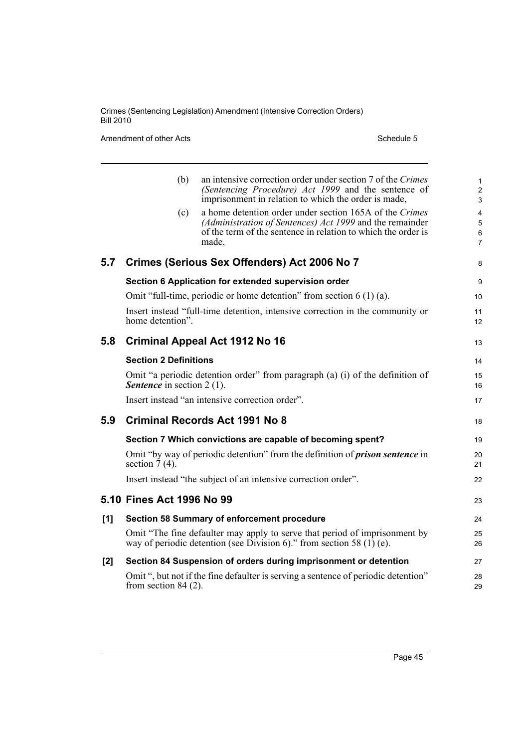Amendment of other Acts Schedule 5

|     | (b)                               | an intensive correction order under section 7 of the Crimes<br>(Sentencing Procedure) Act 1999 and the sentence of<br>imprisonment in relation to which the order is made,                    | 1<br>$\overline{c}$<br>3 |
|-----|-----------------------------------|-----------------------------------------------------------------------------------------------------------------------------------------------------------------------------------------------|--------------------------|
|     | (c)                               | a home detention order under section 165A of the Crimes<br>(Administration of Sentences) Act 1999 and the remainder<br>of the term of the sentence in relation to which the order is<br>made, | 4<br>5<br>6<br>7         |
| 5.7 |                                   | Crimes (Serious Sex Offenders) Act 2006 No 7                                                                                                                                                  | 8                        |
|     |                                   | Section 6 Application for extended supervision order                                                                                                                                          | 9                        |
|     |                                   | Omit "full-time, periodic or home detention" from section $6(1)(a)$ .                                                                                                                         | 10                       |
|     | home detention".                  | Insert instead "full-time detention, intensive correction in the community or                                                                                                                 | 11<br>12                 |
| 5.8 |                                   | <b>Criminal Appeal Act 1912 No 16</b>                                                                                                                                                         | 13                       |
|     | <b>Section 2 Definitions</b>      |                                                                                                                                                                                               | 14                       |
|     | <b>Sentence</b> in section 2 (1). | Omit "a periodic detention order" from paragraph (a) (i) of the definition of                                                                                                                 | 15<br>16                 |
|     |                                   | Insert instead "an intensive correction order".                                                                                                                                               | 17                       |
| 5.9 |                                   | Criminal Records Act 1991 No 8                                                                                                                                                                | 18                       |
|     |                                   | Section 7 Which convictions are capable of becoming spent?                                                                                                                                    | 19                       |
|     | section $\overline{7}(4)$ .       | Omit "by way of periodic detention" from the definition of <b>prison sentence</b> in                                                                                                          | 20<br>21                 |
|     |                                   | Insert instead "the subject of an intensive correction order".                                                                                                                                | 22                       |
|     | 5.10 Fines Act 1996 No 99         |                                                                                                                                                                                               | 23                       |
| [1] |                                   | Section 58 Summary of enforcement procedure                                                                                                                                                   | 24                       |
|     |                                   | Omit "The fine defaulter may apply to serve that period of imprisonment by<br>way of periodic detention (see Division 6)." from section 58 (1) (e).                                           | 25<br>26                 |
| [2] |                                   | Section 84 Suspension of orders during imprisonment or detention                                                                                                                              | 27                       |
|     | from section $84(2)$ .            | Omit ", but not if the fine defaulter is serving a sentence of periodic detention"                                                                                                            | 28<br>29                 |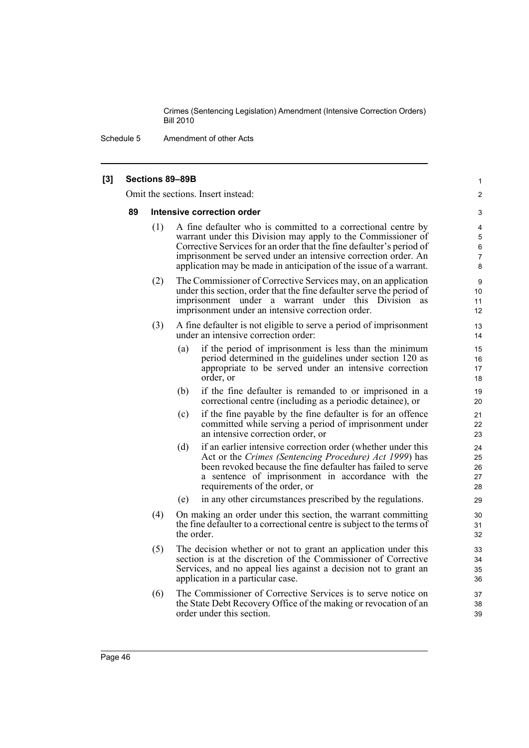Schedule 5 Amendment of other Acts

#### **[3] Sections 89–89B** Omit the sections. Insert instead: **89 Intensive correction order** (1) A fine defaulter who is committed to a correctional centre by warrant under this Division may apply to the Commissioner of Corrective Services for an order that the fine defaulter's period of imprisonment be served under an intensive correction order. An application may be made in anticipation of the issue of a warrant. (2) The Commissioner of Corrective Services may, on an application under this section, order that the fine defaulter serve the period of imprisonment under a warrant under this Division as imprisonment under an intensive correction order. (3) A fine defaulter is not eligible to serve a period of imprisonment under an intensive correction order: (a) if the period of imprisonment is less than the minimum period determined in the guidelines under section 120 as appropriate to be served under an intensive correction order, or (b) if the fine defaulter is remanded to or imprisoned in a correctional centre (including as a periodic detainee), or (c) if the fine payable by the fine defaulter is for an offence committed while serving a period of imprisonment under an intensive correction order, or (d) if an earlier intensive correction order (whether under this Act or the *Crimes (Sentencing Procedure) Act 1999*) has been revoked because the fine defaulter has failed to serve a sentence of imprisonment in accordance with the requirements of the order, or (e) in any other circumstances prescribed by the regulations. (4) On making an order under this section, the warrant committing the fine defaulter to a correctional centre is subject to the terms of the order. (5) The decision whether or not to grant an application under this section is at the discretion of the Commissioner of Corrective Services, and no appeal lies against a decision not to grant an application in a particular case. (6) The Commissioner of Corrective Services is to serve notice on the State Debt Recovery Office of the making or revocation of an order under this section. 1  $\mathfrak{p}$ 3 4 5 6 7 8 9 10 11 12 13 14 15 16 17 18 19 20 21  $22$ 23 24 25 26 27 28 29 30 31 32 33 34 35 36 37 38 39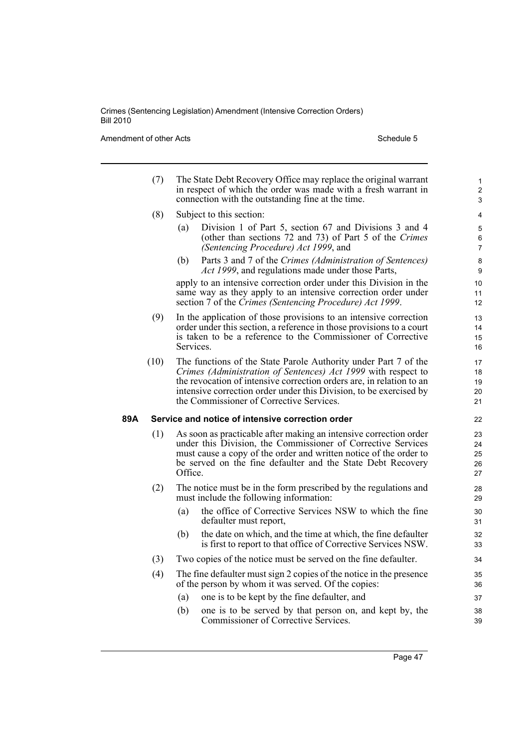Amendment of other Acts Schedule 5

|     | (7)  | The State Debt Recovery Office may replace the original warrant<br>in respect of which the order was made with a fresh warrant in<br>connection with the outstanding fine at the time.                                                                                                                                     | $\mathbf{1}$<br>$\overline{c}$<br>3 |
|-----|------|----------------------------------------------------------------------------------------------------------------------------------------------------------------------------------------------------------------------------------------------------------------------------------------------------------------------------|-------------------------------------|
|     | (8)  | Subject to this section:                                                                                                                                                                                                                                                                                                   | 4                                   |
|     |      | Division 1 of Part 5, section 67 and Divisions 3 and 4<br>(a)<br>(other than sections 72 and 73) of Part 5 of the Crimes<br>(Sentencing Procedure) Act 1999, and                                                                                                                                                           | 5<br>6<br>$\overline{7}$            |
|     |      | Parts 3 and 7 of the Crimes (Administration of Sentences)<br>(b)<br>Act 1999, and regulations made under those Parts,                                                                                                                                                                                                      | 8<br>9                              |
|     |      | apply to an intensive correction order under this Division in the<br>same way as they apply to an intensive correction order under<br>section 7 of the Crimes (Sentencing Procedure) Act 1999.                                                                                                                             | 10<br>11<br>12                      |
|     | (9)  | In the application of those provisions to an intensive correction<br>order under this section, a reference in those provisions to a court<br>is taken to be a reference to the Commissioner of Corrective<br>Services.                                                                                                     | 13<br>14<br>15<br>16                |
|     | (10) | The functions of the State Parole Authority under Part 7 of the<br>Crimes (Administration of Sentences) Act 1999 with respect to<br>the revocation of intensive correction orders are, in relation to an<br>intensive correction order under this Division, to be exercised by<br>the Commissioner of Corrective Services. | 17<br>18<br>19<br>20<br>21          |
| 89A |      | Service and notice of intensive correction order                                                                                                                                                                                                                                                                           | 22                                  |
|     | (1)  | As soon as practicable after making an intensive correction order<br>under this Division, the Commissioner of Corrective Services<br>must cause a copy of the order and written notice of the order to<br>be served on the fine defaulter and the State Debt Recovery<br>Office.                                           | 23<br>24<br>25<br>26<br>27          |
|     | (2)  | The notice must be in the form prescribed by the regulations and<br>must include the following information:                                                                                                                                                                                                                | 28<br>29                            |
|     |      | the office of Corrective Services NSW to which the fine<br>(a)<br>defaulter must report,                                                                                                                                                                                                                                   | 30<br>31                            |
|     |      | the date on which, and the time at which, the fine defaulter<br>(b)<br>is first to report to that office of Corrective Services NSW.                                                                                                                                                                                       | 32<br>33                            |
|     | (3)  | Two copies of the notice must be served on the fine defaulter.                                                                                                                                                                                                                                                             | 34                                  |
|     | (4)  | The fine defaulter must sign 2 copies of the notice in the presence<br>of the person by whom it was served. Of the copies:                                                                                                                                                                                                 | 35<br>36                            |
|     |      | (a)<br>one is to be kept by the fine defaulter, and                                                                                                                                                                                                                                                                        | 37                                  |
|     |      | one is to be served by that person on, and kept by, the<br>(b)<br>Commissioner of Corrective Services.                                                                                                                                                                                                                     | 38<br>39                            |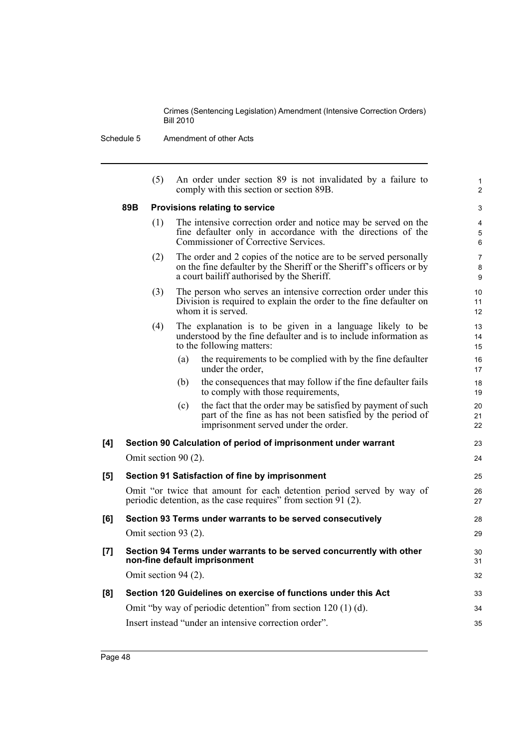Schedule 5 Amendment of other Acts

|     |     | (5) | An order under section 89 is not invalidated by a failure to<br>comply with this section or section 89B.                                                                               | $\mathbf{1}$<br>2        |
|-----|-----|-----|----------------------------------------------------------------------------------------------------------------------------------------------------------------------------------------|--------------------------|
|     | 89B |     | Provisions relating to service                                                                                                                                                         | 3                        |
|     |     | (1) | The intensive correction order and notice may be served on the<br>fine defaulter only in accordance with the directions of the<br>Commissioner of Corrective Services.                 | 4<br>5<br>6              |
|     |     | (2) | The order and 2 copies of the notice are to be served personally<br>on the fine defaulter by the Sheriff or the Sheriff's officers or by<br>a court bailiff authorised by the Sheriff. | $\overline{7}$<br>8<br>9 |
|     |     | (3) | The person who serves an intensive correction order under this<br>Division is required to explain the order to the fine defaulter on<br>whom it is served.                             | 10<br>11<br>12           |
|     |     | (4) | The explanation is to be given in a language likely to be<br>understood by the fine defaulter and is to include information as<br>to the following matters:                            | 13<br>14<br>15           |
|     |     |     | the requirements to be complied with by the fine defaulter<br>(a)<br>under the order.                                                                                                  | 16<br>17                 |
|     |     |     | the consequences that may follow if the fine defaulter fails<br>(b)<br>to comply with those requirements,                                                                              | 18<br>19                 |
|     |     |     | the fact that the order may be satisfied by payment of such<br>(c)<br>part of the fine as has not been satisfied by the period of<br>imprisonment served under the order.              | 20<br>21<br>22           |
| [4] |     |     | Section 90 Calculation of period of imprisonment under warrant                                                                                                                         | 23                       |
|     |     |     | Omit section 90 (2).                                                                                                                                                                   | 24                       |
| [5] |     |     | Section 91 Satisfaction of fine by imprisonment                                                                                                                                        | 25                       |
|     |     |     | Omit "or twice that amount for each detention period served by way of<br>periodic detention, as the case requires" from section 91 (2).                                                | 26<br>27                 |
| [6] |     |     | Section 93 Terms under warrants to be served consecutively                                                                                                                             | 28                       |
|     |     |     | Omit section 93 (2).                                                                                                                                                                   | 29                       |
| [7] |     |     | Section 94 Terms under warrants to be served concurrently with other<br>non-fine default imprisonment                                                                                  | 30<br>31                 |
|     |     |     | Omit section 94 (2).                                                                                                                                                                   | 32                       |
| [8] |     |     | Section 120 Guidelines on exercise of functions under this Act                                                                                                                         | 33                       |
|     |     |     | Omit "by way of periodic detention" from section $120(1)(d)$ .                                                                                                                         | 34                       |
|     |     |     | Insert instead "under an intensive correction order".                                                                                                                                  | 35                       |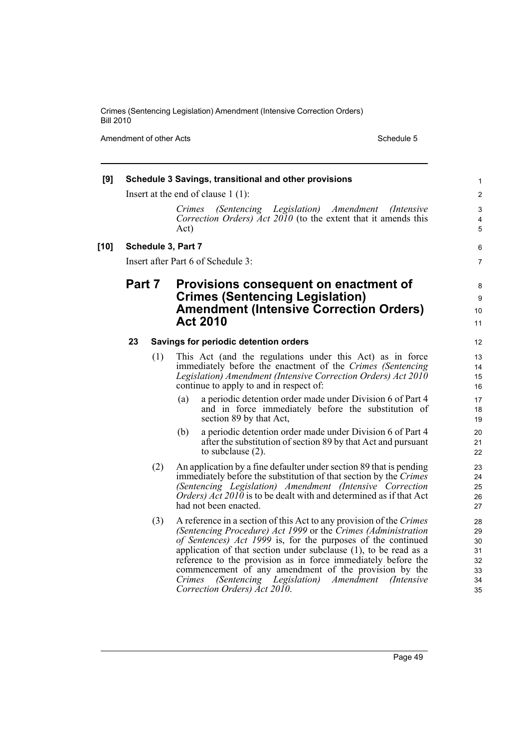Amendment of other Acts Schedule 5

| [9]    |        |     |                    | Schedule 3 Savings, transitional and other provisions                                                                                                                                                                                                                                                                                                                                                                                                                                                | $\mathbf{1}$                                 |
|--------|--------|-----|--------------------|------------------------------------------------------------------------------------------------------------------------------------------------------------------------------------------------------------------------------------------------------------------------------------------------------------------------------------------------------------------------------------------------------------------------------------------------------------------------------------------------------|----------------------------------------------|
|        |        |     |                    | Insert at the end of clause $1(1)$ :                                                                                                                                                                                                                                                                                                                                                                                                                                                                 | $\overline{\mathbf{c}}$                      |
|        |        |     | Crimes<br>Act)     | (Sentencing Legislation) Amendment<br>( <i>Intensive</i> )<br>Correction Orders) Act 2010 (to the extent that it amends this                                                                                                                                                                                                                                                                                                                                                                         | 3<br>$\overline{\mathbf{4}}$<br>5            |
| $[10]$ |        |     | Schedule 3, Part 7 |                                                                                                                                                                                                                                                                                                                                                                                                                                                                                                      | 6                                            |
|        |        |     |                    | Insert after Part 6 of Schedule 3:                                                                                                                                                                                                                                                                                                                                                                                                                                                                   | 7                                            |
|        | Part 7 |     |                    | Provisions consequent on enactment of<br><b>Crimes (Sentencing Legislation)</b><br><b>Amendment (Intensive Correction Orders)</b><br><b>Act 2010</b>                                                                                                                                                                                                                                                                                                                                                 | 8<br>9<br>10<br>11                           |
|        | 23     |     |                    | Savings for periodic detention orders                                                                                                                                                                                                                                                                                                                                                                                                                                                                | 12                                           |
|        |        | (1) |                    | This Act (and the regulations under this Act) as in force<br>immediately before the enactment of the Crimes (Sentencing)<br>Legislation) Amendment (Intensive Correction Orders) Act 2010<br>continue to apply to and in respect of:                                                                                                                                                                                                                                                                 | 13<br>14<br>15<br>16                         |
|        |        |     | (a)                | a periodic detention order made under Division 6 of Part 4<br>and in force immediately before the substitution of<br>section 89 by that Act,                                                                                                                                                                                                                                                                                                                                                         | 17<br>18<br>19                               |
|        |        |     | (b)                | a periodic detention order made under Division 6 of Part 4<br>after the substitution of section 89 by that Act and pursuant<br>to subclause $(2)$ .                                                                                                                                                                                                                                                                                                                                                  | 20<br>21<br>22                               |
|        |        | (2) |                    | An application by a fine defaulter under section 89 that is pending<br>immediately before the substitution of that section by the Crimes<br>(Sentencing Legislation) Amendment (Intensive Correction<br><i>Orders</i> ) <i>Act 2010</i> is to be dealt with and determined as if that Act<br>had not been enacted.                                                                                                                                                                                   | 23<br>24<br>25<br>26<br>27                   |
|        |        | (3) | Crimes             | A reference in a section of this Act to any provision of the Crimes<br>(Sentencing Procedure) Act 1999 or the Crimes (Administration<br>of Sentences) Act 1999 is, for the purposes of the continued<br>application of that section under subclause $(1)$ , to be read as a<br>reference to the provision as in force immediately before the<br>commencement of any amendment of the provision by the<br>(Sentencing Legislation)<br>Amendment<br><i>(Intensive)</i><br>Correction Orders) Act 2010. | 28<br>29<br>30<br>31<br>32<br>33<br>34<br>35 |